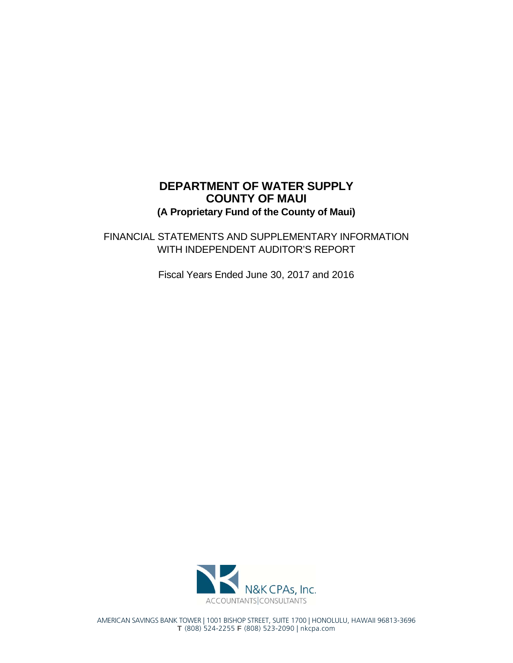# **DEPARTMENT OF WATER SUPPLY COUNTY OF MAUI (A Proprietary Fund of the County of Maui)**

FINANCIAL STATEMENTS AND SUPPLEMENTARY INFORMATION WITH INDEPENDENT AUDITOR'S REPORT

Fiscal Years Ended June 30, 2017 and 2016



AMERICAN SAVINGS BANK TOWER | 1001 BISHOP STREET, SUITE 1700 | HONOLULU, HAWAII 96813-3696 T (808) 524-2255 F (808) 523-2090 | nkcpa.com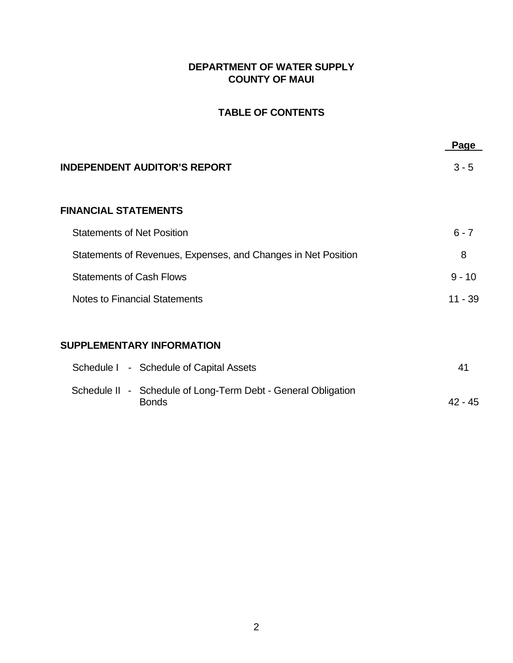# **DEPARTMENT OF WATER SUPPLY COUNTY OF MAUI**

# **TABLE OF CONTENTS**

|                                                                               | Page      |  |  |  |  |  |
|-------------------------------------------------------------------------------|-----------|--|--|--|--|--|
| <b>INDEPENDENT AUDITOR'S REPORT</b>                                           | $3 - 5$   |  |  |  |  |  |
| <b>FINANCIAL STATEMENTS</b>                                                   |           |  |  |  |  |  |
| <b>Statements of Net Position</b>                                             | $6 - 7$   |  |  |  |  |  |
| Statements of Revenues, Expenses, and Changes in Net Position                 |           |  |  |  |  |  |
| <b>Statements of Cash Flows</b>                                               |           |  |  |  |  |  |
| <b>Notes to Financial Statements</b>                                          | $11 - 39$ |  |  |  |  |  |
|                                                                               |           |  |  |  |  |  |
| <b>SUPPLEMENTARY INFORMATION</b>                                              |           |  |  |  |  |  |
| Schedule I - Schedule of Capital Assets                                       | 41        |  |  |  |  |  |
| Schedule II - Schedule of Long-Term Debt - General Obligation<br><b>Bonds</b> | $42 - 45$ |  |  |  |  |  |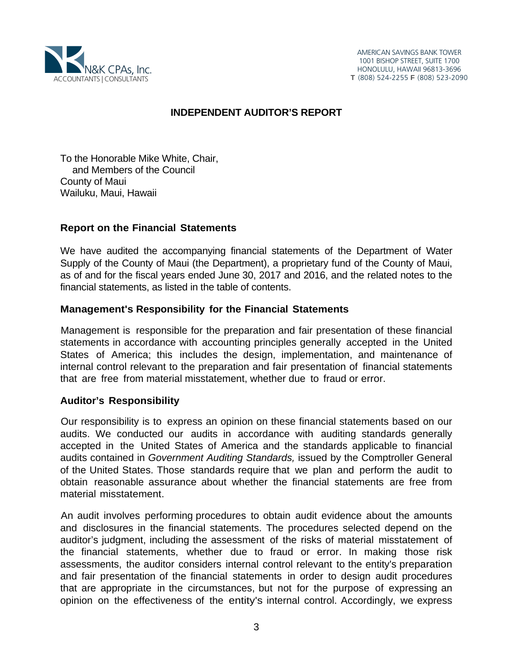

## **INDEPENDENT AUDITOR'S REPORT**

To the Honorable Mike White, Chair, and Members of the Council County of Maui Wailuku, Maui, Hawaii

## **Report on the Financial Statements**

We have audited the accompanying financial statements of the Department of Water Supply of the County of Maui (the Department), a proprietary fund of the County of Maui, as of and for the fiscal years ended June 30, 2017 and 2016, and the related notes to the financial statements, as listed in the table of contents.

## **Management's Responsibility for the Financial Statements**

Management is responsible for the preparation and fair presentation of these financial statements in accordance with accounting principles generally accepted in the United States of America; this includes the design, implementation, and maintenance of internal control relevant to the preparation and fair presentation of financial statements that are free from material misstatement, whether due to fraud or error.

## **Auditor's Responsibility**

Our responsibility is to express an opinion on these financial statements based on our audits. We conducted our audits in accordance with auditing standards generally accepted in the United States of America and the standards applicable to financial audits contained in *Government Auditing Standards,* issued by the Comptroller General of the United States. Those standards require that we plan and perform the audit to obtain reasonable assurance about whether the financial statements are free from material misstatement.

An audit involves performing procedures to obtain audit evidence about the amounts and disclosures in the financial statements. The procedures selected depend on the auditor's judgment, including the assessment of the risks of material misstatement of the financial statements, whether due to fraud or error. In making those risk assessments, the auditor considers internal control relevant to the entity's preparation and fair presentation of the financial statements in order to design audit procedures that are appropriate in the circumstances, but not for the purpose of expressing an opinion on the effectiveness of the entity's internal control. Accordingly, we express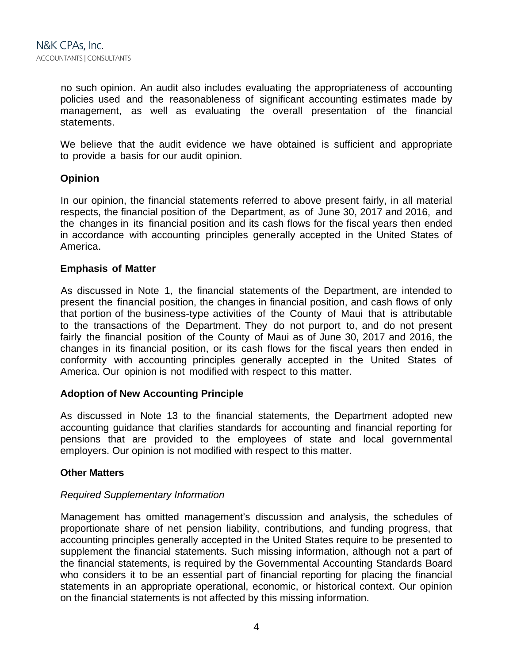no such opinion. An audit also includes evaluating the appropriateness of accounting policies used and the reasonableness of significant accounting estimates made by management, as well as evaluating the overall presentation of the financial statements.

We believe that the audit evidence we have obtained is sufficient and appropriate to provide a basis for our audit opinion.

## **Opinion**

In our opinion, the financial statements referred to above present fairly, in all material respects, the financial position of the Department, as of June 30, 2017 and 2016, and the changes in its financial position and its cash flows for the fiscal years then ended in accordance with accounting principles generally accepted in the United States of America.

## **Emphasis of Matter**

As discussed in Note 1, the financial statements of the Department, are intended to present the financial position, the changes in financial position, and cash flows of only that portion of the business-type activities of the County of Maui that is attributable to the transactions of the Department. They do not purport to, and do not present fairly the financial position of the County of Maui as of June 30, 2017 and 2016, the changes in its financial position, or its cash flows for the fiscal years then ended in conformity with accounting principles generally accepted in the United States of America. Our opinion is not modified with respect to this matter.

## **Adoption of New Accounting Principle**

As discussed in Note 13 to the financial statements, the Department adopted new accounting guidance that clarifies standards for accounting and financial reporting for pensions that are provided to the employees of state and local governmental employers. Our opinion is not modified with respect to this matter.

## **Other Matters**

## *Required Supplementary Information*

Management has omitted management's discussion and analysis, the schedules of proportionate share of net pension liability, contributions, and funding progress, that accounting principles generally accepted in the United States require to be presented to supplement the financial statements. Such missing information, although not a part of the financial statements, is required by the Governmental Accounting Standards Board who considers it to be an essential part of financial reporting for placing the financial statements in an appropriate operational, economic, or historical context. Our opinion on the financial statements is not affected by this missing information.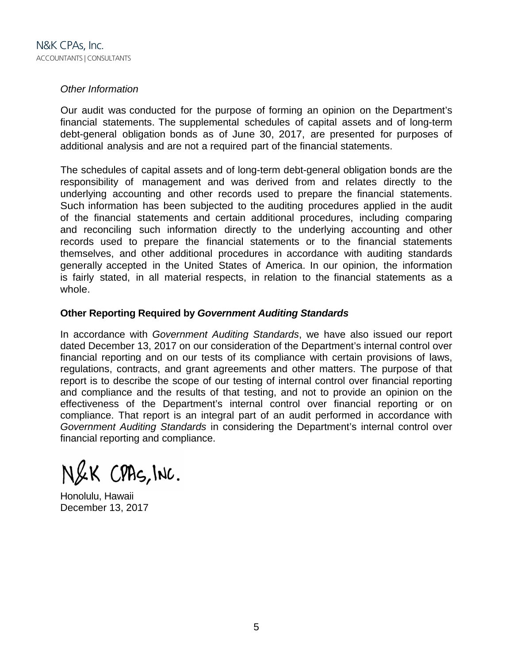## *Other Information*

Our audit was conducted for the purpose of forming an opinion on the Department's financial statements. The supplemental schedules of capital assets and of long-term debt-general obligation bonds as of June 30, 2017, are presented for purposes of additional analysis and are not a required part of the financial statements.

The schedules of capital assets and of long-term debt-general obligation bonds are the responsibility of management and was derived from and relates directly to the underlying accounting and other records used to prepare the financial statements. Such information has been subjected to the auditing procedures applied in the audit of the financial statements and certain additional procedures, including comparing and reconciling such information directly to the underlying accounting and other records used to prepare the financial statements or to the financial statements themselves, and other additional procedures in accordance with auditing standards generally accepted in the United States of America. In our opinion, the information is fairly stated, in all material respects, in relation to the financial statements as a whole.

## **Other Reporting Required by** *Government Auditing Standards*

In accordance with *Government Auditing Standards*, we have also issued our report dated December 13, 2017 on our consideration of the Department's internal control over financial reporting and on our tests of its compliance with certain provisions of laws, regulations, contracts, and grant agreements and other matters. The purpose of that report is to describe the scope of our testing of internal control over financial reporting and compliance and the results of that testing, and not to provide an opinion on the effectiveness of the Department's internal control over financial reporting or on compliance. That report is an integral part of an audit performed in accordance with *Government Auditing Standards* in considering the Department's internal control over financial reporting and compliance.

N&K CPAS, INC.

Honolulu, Hawaii December 13, 2017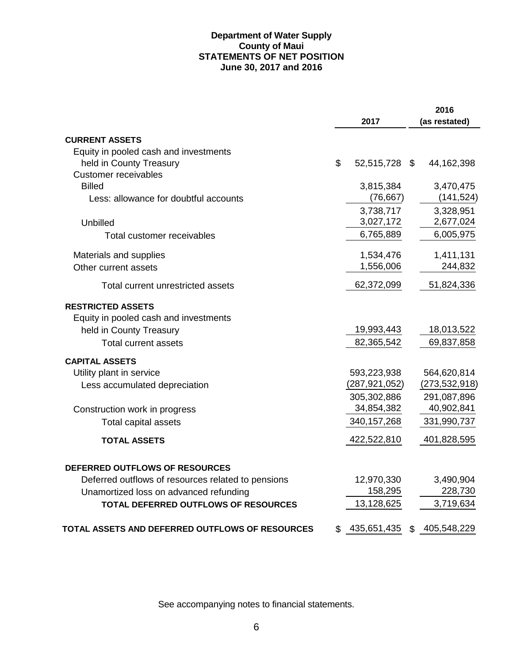### **Department of Water Supply County of Maui STATEMENTS OF NET POSITION June 30, 2017 and 2016**

|                                                    |                     |                | 2016            |
|----------------------------------------------------|---------------------|----------------|-----------------|
|                                                    | 2017                |                | (as restated)   |
| <b>CURRENT ASSETS</b>                              |                     |                |                 |
| Equity in pooled cash and investments              |                     |                |                 |
| held in County Treasury                            | \$<br>52,515,728 \$ |                | 44,162,398      |
| <b>Customer receivables</b>                        |                     |                |                 |
| <b>Billed</b>                                      | 3,815,384           |                | 3,470,475       |
| Less: allowance for doubtful accounts              | (76, 667)           |                | (141, 524)      |
|                                                    | 3,738,717           |                | 3,328,951       |
| Unbilled                                           | 3,027,172           |                | 2,677,024       |
| Total customer receivables                         | 6,765,889           |                | 6,005,975       |
| Materials and supplies                             | 1,534,476           |                | 1,411,131       |
| Other current assets                               | 1,556,006           |                | 244,832         |
| Total current unrestricted assets                  | 62,372,099          |                | 51,824,336      |
| <b>RESTRICTED ASSETS</b>                           |                     |                |                 |
| Equity in pooled cash and investments              |                     |                |                 |
| held in County Treasury                            | 19,993,443          |                | 18,013,522      |
| <b>Total current assets</b>                        | 82,365,542          |                | 69,837,858      |
| <b>CAPITAL ASSETS</b>                              |                     |                |                 |
| Utility plant in service                           | 593,223,938         |                | 564,620,814     |
| Less accumulated depreciation                      | (287, 921, 052)     |                | (273, 532, 918) |
|                                                    | 305,302,886         |                | 291,087,896     |
| Construction work in progress                      | 34,854,382          |                | 40,902,841      |
| <b>Total capital assets</b>                        | 340, 157, 268       |                | 331,990,737     |
| <b>TOTAL ASSETS</b>                                | 422,522,810         |                | 401,828,595     |
| <b>DEFERRED OUTFLOWS OF RESOURCES</b>              |                     |                |                 |
| Deferred outflows of resources related to pensions | 12,970,330          |                | 3,490,904       |
| Unamortized loss on advanced refunding             | 158,295             |                | 228,730         |
| TOTAL DEFERRED OUTFLOWS OF RESOURCES               | 13,128,625          |                | 3,719,634       |
| TOTAL ASSETS AND DEFERRED OUTFLOWS OF RESOURCES    | \$<br>435,651,435   | $\mathfrak{L}$ | 405,548,229     |
|                                                    |                     |                |                 |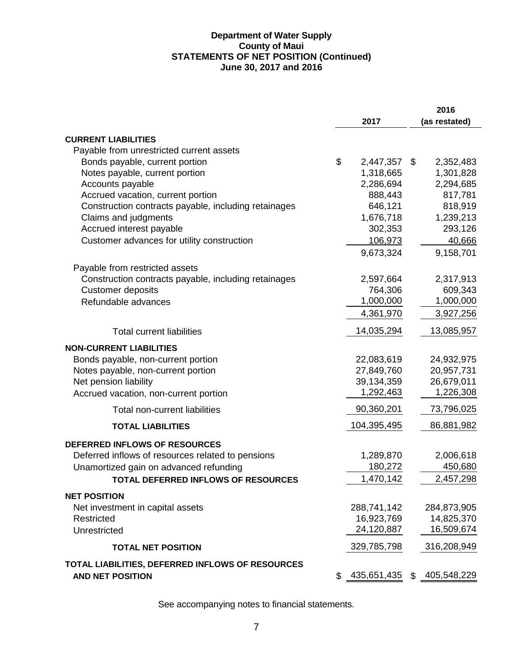### **Department of Water Supply County of Maui STATEMENTS OF NET POSITION (Continued) June 30, 2017 and 2016**

|                                                      |                               | 2016            |
|------------------------------------------------------|-------------------------------|-----------------|
|                                                      | 2017                          | (as restated)   |
| <b>CURRENT LIABILITIES</b>                           |                               |                 |
| Payable from unrestricted current assets             |                               |                 |
| Bonds payable, current portion                       | \$<br>2,447,357               | \$<br>2,352,483 |
| Notes payable, current portion                       | 1,318,665                     | 1,301,828       |
| Accounts payable                                     | 2,286,694                     | 2,294,685       |
| Accrued vacation, current portion                    | 888,443                       | 817,781         |
| Construction contracts payable, including retainages | 646,121                       | 818,919         |
| Claims and judgments                                 | 1,676,718                     | 1,239,213       |
| Accrued interest payable                             | 302,353                       | 293,126         |
| Customer advances for utility construction           | 106,973                       | 40,666          |
|                                                      | 9,673,324                     | 9,158,701       |
| Payable from restricted assets                       |                               |                 |
| Construction contracts payable, including retainages | 2,597,664                     | 2,317,913       |
| <b>Customer deposits</b>                             | 764,306                       | 609,343         |
| Refundable advances                                  | 1,000,000                     | 1,000,000       |
|                                                      | 4,361,970                     | 3,927,256       |
| <b>Total current liabilities</b>                     | 14,035,294                    | 13,085,957      |
| <b>NON-CURRENT LIABILITIES</b>                       |                               |                 |
| Bonds payable, non-current portion                   | 22,083,619                    | 24,932,975      |
| Notes payable, non-current portion                   | 27,849,760                    | 20,957,731      |
| Net pension liability                                | 39,134,359                    | 26,679,011      |
| Accrued vacation, non-current portion                | 1,292,463                     | 1,226,308       |
| Total non-current liabilities                        | 90,360,201                    | 73,796,025      |
| <b>TOTAL LIABILITIES</b>                             | 104,395,495                   | 86,881,982      |
| DEFERRED INFLOWS OF RESOURCES                        |                               |                 |
| Deferred inflows of resources related to pensions    | 1,289,870                     | 2,006,618       |
| Unamortized gain on advanced refunding               | 180,272                       | 450,680         |
| TOTAL DEFERRED INFLOWS OF RESOURCES                  | 1,470,142                     | 2,457,298       |
| <b>NET POSITION</b>                                  |                               |                 |
| Net investment in capital assets                     | 288,741,142                   | 284,873,905     |
| Restricted                                           | 16,923,769                    | 14,825,370      |
| Unrestricted                                         | 24,120,887                    | 16,509,674      |
| <b>TOTAL NET POSITION</b>                            | 329,785,798                   | 316,208,949     |
| TOTAL LIABILITIES, DEFERRED INFLOWS OF RESOURCES     |                               |                 |
| <b>AND NET POSITION</b>                              | $$435,651,435$ $$405,548,229$ |                 |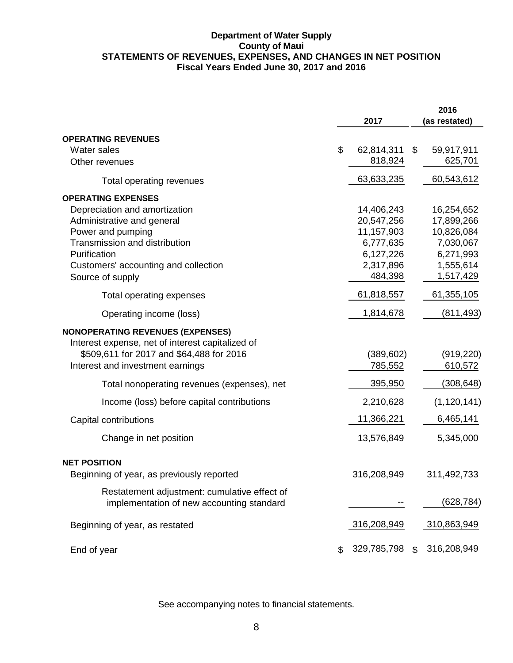### **Department of Water Supply County of Maui STATEMENTS OF REVENUES, EXPENSES, AND CHANGES IN NET POSITION Fiscal Years Ended June 30, 2017 and 2016**

|                                                                                                                                                                                                                                   | 2017                                                                                     | 2016<br>(as restated)                                                                      |
|-----------------------------------------------------------------------------------------------------------------------------------------------------------------------------------------------------------------------------------|------------------------------------------------------------------------------------------|--------------------------------------------------------------------------------------------|
| <b>OPERATING REVENUES</b><br>Water sales<br>Other revenues                                                                                                                                                                        | \$<br>62,814,311<br>818,924                                                              | \$<br>59,917,911<br>625,701                                                                |
| Total operating revenues                                                                                                                                                                                                          | 63,633,235                                                                               | 60,543,612                                                                                 |
| <b>OPERATING EXPENSES</b><br>Depreciation and amortization<br>Administrative and general<br>Power and pumping<br><b>Transmission and distribution</b><br>Purification<br>Customers' accounting and collection<br>Source of supply | 14,406,243<br>20,547,256<br>11,157,903<br>6,777,635<br>6,127,226<br>2,317,896<br>484,398 | 16,254,652<br>17,899,266<br>10,826,084<br>7,030,067<br>6,271,993<br>1,555,614<br>1,517,429 |
| Total operating expenses                                                                                                                                                                                                          | 61,818,557                                                                               | 61,355,105                                                                                 |
| Operating income (loss)                                                                                                                                                                                                           | 1,814,678                                                                                | (811, 493)                                                                                 |
| <b>NONOPERATING REVENUES (EXPENSES)</b><br>Interest expense, net of interest capitalized of<br>\$509,611 for 2017 and \$64,488 for 2016<br>Interest and investment earnings                                                       | (389, 602)<br><u>785,552</u>                                                             | (919, 220)<br>610,572                                                                      |
| Total nonoperating revenues (expenses), net                                                                                                                                                                                       | 395,950                                                                                  | (308, 648)                                                                                 |
| Income (loss) before capital contributions<br>Capital contributions<br>Change in net position                                                                                                                                     | 2,210,628<br>11,366,221<br>13,576,849                                                    | (1, 120, 141)<br>6,465,141<br>5,345,000                                                    |
| <b>NET POSITION</b><br>Beginning of year, as previously reported                                                                                                                                                                  | 316,208,949                                                                              | 311,492,733                                                                                |
| Restatement adjustment: cumulative effect of<br>implementation of new accounting standard                                                                                                                                         |                                                                                          | (628, 784)                                                                                 |
| Beginning of year, as restated                                                                                                                                                                                                    | 316,208,949                                                                              | 310,863,949                                                                                |
| End of year                                                                                                                                                                                                                       | 329,785,798                                                                              | \$<br>316,208,949                                                                          |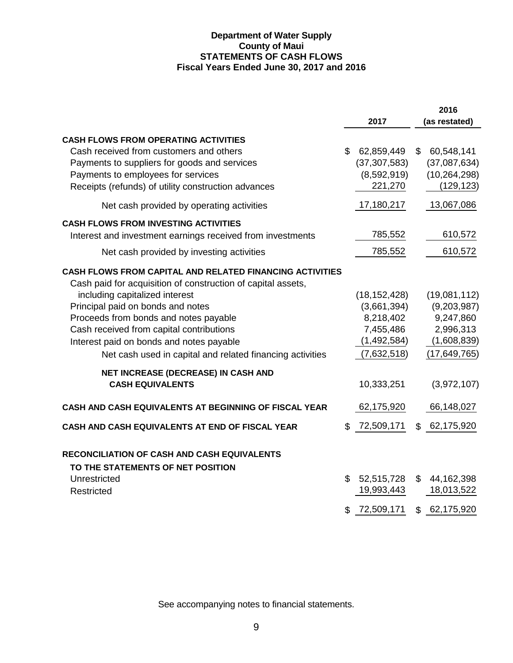### **Department of Water Supply County of Maui STATEMENTS OF CASH FLOWS Fiscal Years Ended June 30, 2017 and 2016**

|                                                                                                                                                                                                                                                                                                                                                                                                      |          |                                                                                       |                | 2016                                                                                 |
|------------------------------------------------------------------------------------------------------------------------------------------------------------------------------------------------------------------------------------------------------------------------------------------------------------------------------------------------------------------------------------------------------|----------|---------------------------------------------------------------------------------------|----------------|--------------------------------------------------------------------------------------|
|                                                                                                                                                                                                                                                                                                                                                                                                      |          | 2017                                                                                  |                | (as restated)                                                                        |
| <b>CASH FLOWS FROM OPERATING ACTIVITIES</b><br>Cash received from customers and others<br>Payments to suppliers for goods and services<br>Payments to employees for services<br>Receipts (refunds) of utility construction advances                                                                                                                                                                  | \$       | 62,859,449<br>(37, 307, 583)<br>(8,592,919)<br>221,270                                | $\mathfrak{L}$ | 60,548,141<br>(37,087,634)<br>(10, 264, 298)<br>(129, 123)                           |
| Net cash provided by operating activities                                                                                                                                                                                                                                                                                                                                                            |          | 17,180,217                                                                            |                | 13,067,086                                                                           |
| <b>CASH FLOWS FROM INVESTING ACTIVITIES</b><br>Interest and investment earnings received from investments<br>Net cash provided by investing activities                                                                                                                                                                                                                                               |          | 785,552<br>785,552                                                                    |                | 610,572<br>610,572                                                                   |
| <b>CASH FLOWS FROM CAPITAL AND RELATED FINANCING ACTIVITIES</b><br>Cash paid for acquisition of construction of capital assets,<br>including capitalized interest<br>Principal paid on bonds and notes<br>Proceeds from bonds and notes payable<br>Cash received from capital contributions<br>Interest paid on bonds and notes payable<br>Net cash used in capital and related financing activities |          | (18, 152, 428)<br>(3,661,394)<br>8,218,402<br>7,455,486<br>(1,492,584)<br>(7,632,518) |                | (19,081,112)<br>(9,203,987)<br>9,247,860<br>2,996,313<br>(1,608,839)<br>(17,649,765) |
| NET INCREASE (DECREASE) IN CASH AND<br><b>CASH EQUIVALENTS</b>                                                                                                                                                                                                                                                                                                                                       |          | 10,333,251                                                                            |                | (3,972,107)                                                                          |
| <b>CASH AND CASH EQUIVALENTS AT BEGINNING OF FISCAL YEAR</b>                                                                                                                                                                                                                                                                                                                                         |          | 62,175,920                                                                            |                | 66,148,027                                                                           |
| CASH AND CASH EQUIVALENTS AT END OF FISCAL YEAR                                                                                                                                                                                                                                                                                                                                                      | £.       | 72,509,171                                                                            | \$             | 62,175,920                                                                           |
| <b>RECONCILIATION OF CASH AND CASH EQUIVALENTS</b><br>TO THE STATEMENTS OF NET POSITION<br>Unrestricted<br>Restricted                                                                                                                                                                                                                                                                                | \$<br>\$ | 52,515,728<br>19,993,443<br>72,509,171                                                | \$<br>\$       | 44,162,398<br>18,013,522<br>62,175,920                                               |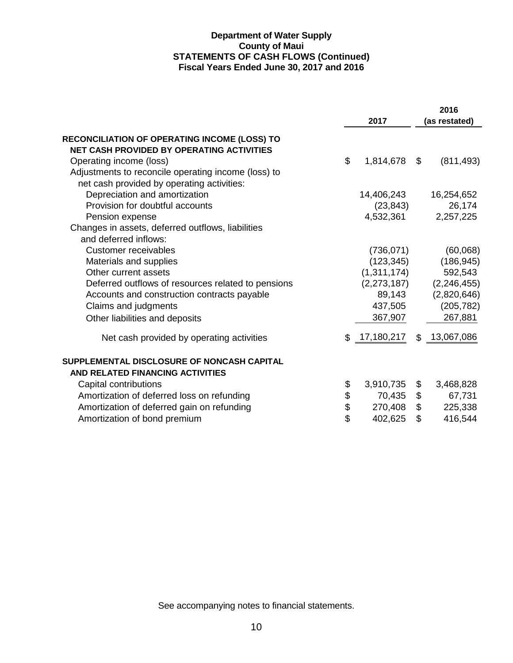### **Department of Water Supply County of Maui STATEMENTS OF CASH FLOWS (Continued) Fiscal Years Ended June 30, 2017 and 2016**

|                                                     |                  |                           | 2016          |
|-----------------------------------------------------|------------------|---------------------------|---------------|
|                                                     | 2017             |                           | (as restated) |
| RECONCILIATION OF OPERATING INCOME (LOSS) TO        |                  |                           |               |
| <b>NET CASH PROVIDED BY OPERATING ACTIVITIES</b>    |                  |                           |               |
| Operating income (loss)                             | \$<br>1,814,678  | \$                        | (811, 493)    |
| Adjustments to reconcile operating income (loss) to |                  |                           |               |
| net cash provided by operating activities:          |                  |                           |               |
| Depreciation and amortization                       | 14,406,243       |                           | 16,254,652    |
| Provision for doubtful accounts                     | (23, 843)        |                           | 26,174        |
| Pension expense                                     | 4,532,361        |                           | 2,257,225     |
| Changes in assets, deferred outflows, liabilities   |                  |                           |               |
| and deferred inflows:                               |                  |                           |               |
| <b>Customer receivables</b>                         | (736, 071)       |                           | (60,068)      |
| Materials and supplies                              | (123, 345)       |                           | (186, 945)    |
| Other current assets                                | (1,311,174)      |                           | 592,543       |
| Deferred outflows of resources related to pensions  | (2,273,187)      |                           | (2, 246, 455) |
| Accounts and construction contracts payable         | 89,143           |                           | (2,820,646)   |
| Claims and judgments                                | 437,505          |                           | (205, 782)    |
| Other liabilities and deposits                      | 367,907          |                           | 267,881       |
| Net cash provided by operating activities           | \$<br>17,180,217 | $\mathfrak{L}$            | 13,067,086    |
| SUPPLEMENTAL DISCLOSURE OF NONCASH CAPITAL          |                  |                           |               |
| AND RELATED FINANCING ACTIVITIES                    |                  |                           |               |
| Capital contributions                               | \$<br>3,910,735  | \$                        | 3,468,828     |
| Amortization of deferred loss on refunding          | \$<br>70,435     | \$                        | 67,731        |
| Amortization of deferred gain on refunding          | \$<br>270,408    | $\boldsymbol{\mathsf{S}}$ | 225,338       |
| Amortization of bond premium                        | \$<br>402,625    | \$                        | 416,544       |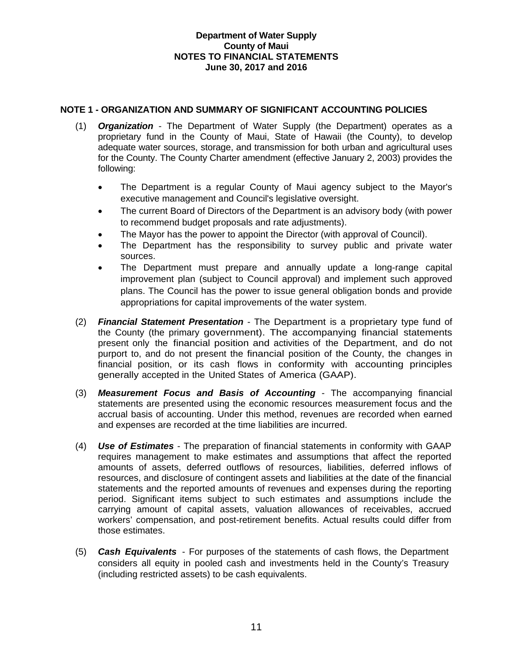## **NOTE 1 - ORGANIZATION AND SUMMARY OF SIGNIFICANT ACCOUNTING POLICIES**

- (1) *Organization*  The Department of Water Supply (the Department) operates as a proprietary fund in the County of Maui, State of Hawaii (the County), to develop adequate water sources, storage, and transmission for both urban and agricultural uses for the County. The County Charter amendment (effective January 2, 2003) provides the following:
	- The Department is a regular County of Maui agency subject to the Mayor's executive management and Council's legislative oversight.
	- The current Board of Directors of the Department is an advisory body (with power to recommend budget proposals and rate adjustments).
	- The Mayor has the power to appoint the Director (with approval of Council).
	- The Department has the responsibility to survey public and private water sources.
	- The Department must prepare and annually update a long-range capital improvement plan (subject to Council approval) and implement such approved plans. The Council has the power to issue general obligation bonds and provide appropriations for capital improvements of the water system.
- (2) *Financial Statement Presentation* The Department is a proprietary type fund of the County (the primary government). The accompanying financial statements present only the financial position and activities of the Department, and do not purport to, and do not present the financial position of the County, the changes in financial position, or its cash flows in conformity with accounting principles generally accepted in the United States of America (GAAP).
- (3) *Measurement Focus and Basis of Accounting* The accompanying financial statements are presented using the economic resources measurement focus and the accrual basis of accounting. Under this method, revenues are recorded when earned and expenses are recorded at the time liabilities are incurred.
- (4) *Use of Estimates* The preparation of financial statements in conformity with GAAP requires management to make estimates and assumptions that affect the reported amounts of assets, deferred outflows of resources, liabilities, deferred inflows of resources, and disclosure of contingent assets and liabilities at the date of the financial statements and the reported amounts of revenues and expenses during the reporting period. Significant items subject to such estimates and assumptions include the carrying amount of capital assets, valuation allowances of receivables, accrued workers' compensation, and post-retirement benefits. Actual results could differ from those estimates.
- (5) *Cash Equivalents*  For purposes of the statements of cash flows, the Department considers all equity in pooled cash and investments held in the County's Treasury (including restricted assets) to be cash equivalents.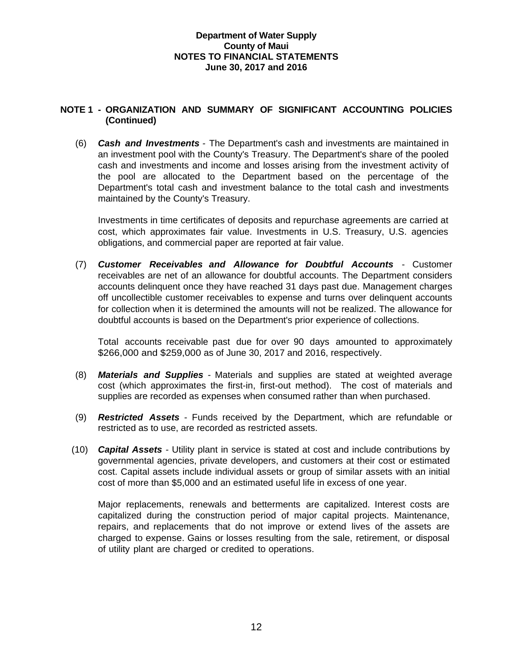### **NOTE 1 - ORGANIZATION AND SUMMARY OF SIGNIFICANT ACCOUNTING POLICIES (Continued)**

(6) *Cash and Investments -* The Department's cash and investments are maintained in an investment pool with the County's Treasury. The Department's share of the pooled cash and investments and income and losses arising from the investment activity of the pool are allocated to the Department based on the percentage of the Department's total cash and investment balance to the total cash and investments maintained by the County's Treasury.

Investments in time certificates of deposits and repurchase agreements are carried at cost, which approximates fair value. Investments in U.S. Treasury, U.S. agencies obligations, and commercial paper are reported at fair value.

(7) *Customer Receivables and Allowance for Doubtful Accounts* - Customer receivables are net of an allowance for doubtful accounts. The Department considers accounts delinquent once they have reached 31 days past due. Management charges off uncollectible customer receivables to expense and turns over delinquent accounts for collection when it is determined the amounts will not be realized. The allowance for doubtful accounts is based on the Department's prior experience of collections.

Total accounts receivable past due for over 90 days amounted to approximately \$266,000 and \$259,000 as of June 30, 2017 and 2016, respectively.

- (8) *Materials and Supplies -* Materials and supplies are stated at weighted average cost (which approximates the first-in, first-out method). The cost of materials and supplies are recorded as expenses when consumed rather than when purchased.
- (9) *Restricted Assets*  Funds received by the Department, which are refundable or restricted as to use, are recorded as restricted assets.
- (10) *Capital Assets* Utility plant in service is stated at cost and include contributions by governmental agencies, private developers, and customers at their cost or estimated cost. Capital assets include individual assets or group of similar assets with an initial cost of more than \$5,000 and an estimated useful life in excess of one year.

Major replacements, renewals and betterments are capitalized. Interest costs are capitalized during the construction period of major capital projects. Maintenance, repairs, and replacements that do not improve or extend lives of the assets are charged to expense. Gains or losses resulting from the sale, retirement, or disposal of utility plant are charged or credited to operations.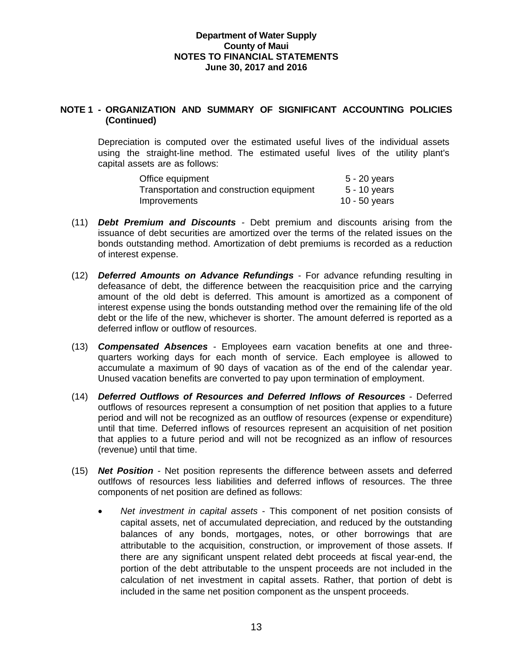### **NOTE 1 - ORGANIZATION AND SUMMARY OF SIGNIFICANT ACCOUNTING POLICIES (Continued)**

Depreciation is computed over the estimated useful lives of the individual assets using the straight-line method. The estimated useful lives of the utility plant's capital assets are as follows:

| Office equipment                          | $5 - 20$ years |
|-------------------------------------------|----------------|
| Transportation and construction equipment | $5 - 10$ years |
| Improvements                              | 10 - 50 years  |

- (11) *Debt Premium and Discounts -* Debt premium and discounts arising from the issuance of debt securities are amortized over the terms of the related issues on the bonds outstanding method. Amortization of debt premiums is recorded as a reduction of interest expense.
- (12) *Deferred Amounts on Advance Refundings*  For advance refunding resulting in defeasance of debt, the difference between the reacquisition price and the carrying amount of the old debt is deferred. This amount is amortized as a component of interest expense using the bonds outstanding method over the remaining life of the old debt or the life of the new, whichever is shorter. The amount deferred is reported as a deferred inflow or outflow of resources.
- (13) *Compensated Absences*  Employees earn vacation benefits at one and threequarters working days for each month of service. Each employee is allowed to accumulate a maximum of 90 days of vacation as of the end of the calendar year. Unused vacation benefits are converted to pay upon termination of employment.
- (14) *Deferred Outflows of Resources and Deferred Inflows of Resources*  Deferred outflows of resources represent a consumption of net position that applies to a future period and will not be recognized as an outflow of resources (expense or expenditure) until that time. Deferred inflows of resources represent an acquisition of net position that applies to a future period and will not be recognized as an inflow of resources (revenue) until that time.
- (15) *Net Position* Net position represents the difference between assets and deferred outlfows of resources less liabilities and deferred inflows of resources. The three components of net position are defined as follows:
	- *Net investment in capital assets* This component of net position consists of capital assets, net of accumulated depreciation, and reduced by the outstanding balances of any bonds, mortgages, notes, or other borrowings that are attributable to the acquisition, construction, or improvement of those assets. If there are any significant unspent related debt proceeds at fiscal year-end, the portion of the debt attributable to the unspent proceeds are not included in the calculation of net investment in capital assets. Rather, that portion of debt is included in the same net position component as the unspent proceeds.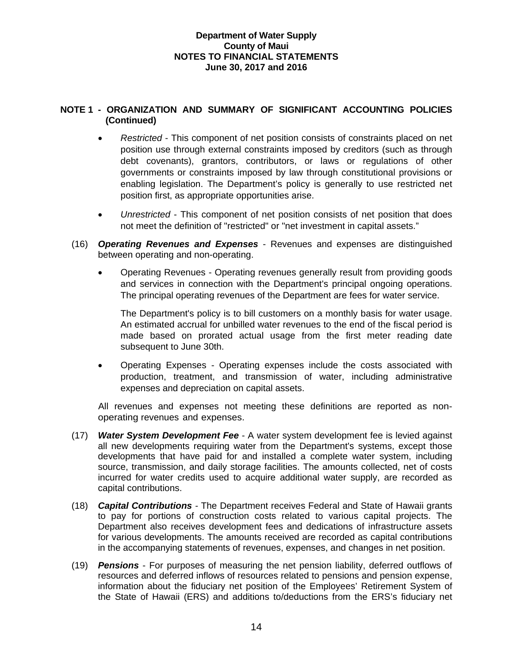## **NOTE 1 - ORGANIZATION AND SUMMARY OF SIGNIFICANT ACCOUNTING POLICIES (Continued)**

- *Restricted* This component of net position consists of constraints placed on net position use through external constraints imposed by creditors (such as through debt covenants), grantors, contributors, or laws or regulations of other governments or constraints imposed by law through constitutional provisions or enabling legislation. The Department's policy is generally to use restricted net position first, as appropriate opportunities arise.
- *Unrestricted* This component of net position consists of net position that does not meet the definition of "restricted" or "net investment in capital assets."
- (16) *Operating Revenues and Expenses*  Revenues and expenses are distinguished between operating and non-operating.
	- Operating Revenues Operating revenues generally result from providing goods and services in connection with the Department's principal ongoing operations. The principal operating revenues of the Department are fees for water service.

The Department's policy is to bill customers on a monthly basis for water usage. An estimated accrual for unbilled water revenues to the end of the fiscal period is made based on prorated actual usage from the first meter reading date subsequent to June 30th.

 Operating Expenses - Operating expenses include the costs associated with production, treatment, and transmission of water, including administrative expenses and depreciation on capital assets.

All revenues and expenses not meeting these definitions are reported as nonoperating revenues and expenses.

- (17) *Water System Development Fee*  A water system development fee is levied against all new developments requiring water from the Department's systems, except those developments that have paid for and installed a complete water system, including source, transmission, and daily storage facilities. The amounts collected, net of costs incurred for water credits used to acquire additional water supply, are recorded as capital contributions.
- (18) *Capital Contributions* The Department receives Federal and State of Hawaii grants to pay for portions of construction costs related to various capital projects. The Department also receives development fees and dedications of infrastructure assets for various developments. The amounts received are recorded as capital contributions in the accompanying statements of revenues, expenses, and changes in net position.
- (19) *Pensions*  For purposes of measuring the net pension liability, deferred outflows of resources and deferred inflows of resources related to pensions and pension expense, information about the fiduciary net position of the Employees' Retirement System of the State of Hawaii (ERS) and additions to/deductions from the ERS's fiduciary net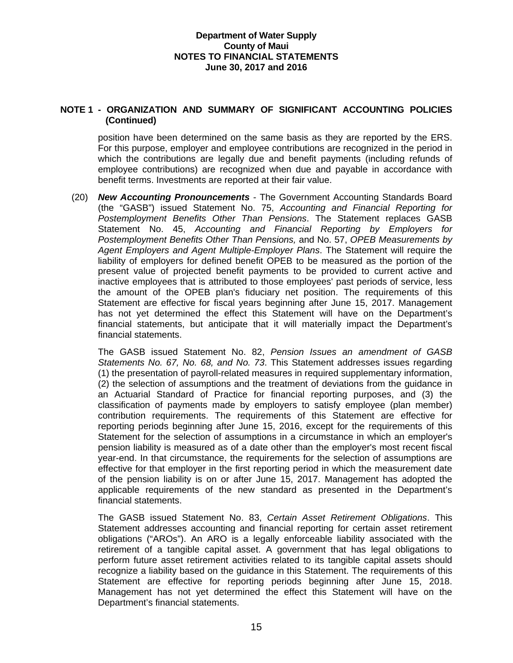### **NOTE 1 - ORGANIZATION AND SUMMARY OF SIGNIFICANT ACCOUNTING POLICIES (Continued)**

position have been determined on the same basis as they are reported by the ERS. For this purpose, employer and employee contributions are recognized in the period in which the contributions are legally due and benefit payments (including refunds of employee contributions) are recognized when due and payable in accordance with benefit terms. Investments are reported at their fair value.

(20) *New Accounting Pronouncements* - The Government Accounting Standards Board (the "GASB") issued Statement No. 75, *Accounting and Financial Reporting for Postemployment Benefits Other Than Pensions*. The Statement replaces GASB Statement No. 45, *Accounting and Financial Reporting by Employers for Postemployment Benefits Other Than Pensions,* and No. 57, *OPEB Measurements by Agent Employers and Agent Multiple-Employer Plans*. The Statement will require the liability of employers for defined benefit OPEB to be measured as the portion of the present value of projected benefit payments to be provided to current active and inactive employees that is attributed to those employees' past periods of service, less the amount of the OPEB plan's fiduciary net position. The requirements of this Statement are effective for fiscal years beginning after June 15, 2017. Management has not yet determined the effect this Statement will have on the Department's financial statements, but anticipate that it will materially impact the Department's financial statements.

The GASB issued Statement No. 82, *Pension Issues an amendment of GASB Statements No. 67, No. 68, and No. 73*. This Statement addresses issues regarding (1) the presentation of payroll-related measures in required supplementary information, (2) the selection of assumptions and the treatment of deviations from the guidance in an Actuarial Standard of Practice for financial reporting purposes, and (3) the classification of payments made by employers to satisfy employee (plan member) contribution requirements. The requirements of this Statement are effective for reporting periods beginning after June 15, 2016, except for the requirements of this Statement for the selection of assumptions in a circumstance in which an employer's pension liability is measured as of a date other than the employer's most recent fiscal year-end. In that circumstance, the requirements for the selection of assumptions are effective for that employer in the first reporting period in which the measurement date of the pension liability is on or after June 15, 2017. Management has adopted the applicable requirements of the new standard as presented in the Department's financial statements.

The GASB issued Statement No. 83, *Certain Asset Retirement Obligations*. This Statement addresses accounting and financial reporting for certain asset retirement obligations ("AROs"). An ARO is a legally enforceable liability associated with the retirement of a tangible capital asset. A government that has legal obligations to perform future asset retirement activities related to its tangible capital assets should recognize a liability based on the guidance in this Statement. The requirements of this Statement are effective for reporting periods beginning after June 15, 2018. Management has not yet determined the effect this Statement will have on the Department's financial statements.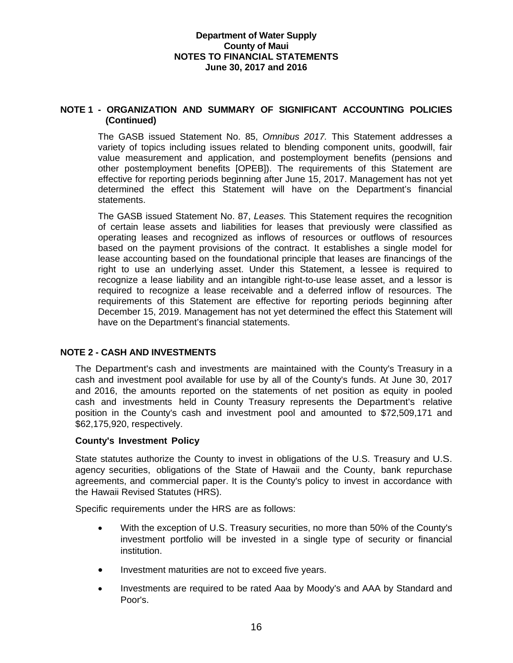### **NOTE 1 - ORGANIZATION AND SUMMARY OF SIGNIFICANT ACCOUNTING POLICIES (Continued)**

The GASB issued Statement No. 85, *Omnibus 2017.* This Statement addresses a variety of topics including issues related to blending component units, goodwill, fair value measurement and application, and postemployment benefits (pensions and other postemployment benefits [OPEB]). The requirements of this Statement are effective for reporting periods beginning after June 15, 2017. Management has not yet determined the effect this Statement will have on the Department's financial statements.

The GASB issued Statement No. 87, *Leases.* This Statement requires the recognition of certain lease assets and liabilities for leases that previously were classified as operating leases and recognized as inflows of resources or outflows of resources based on the payment provisions of the contract. It establishes a single model for lease accounting based on the foundational principle that leases are financings of the right to use an underlying asset. Under this Statement, a lessee is required to recognize a lease liability and an intangible right-to-use lease asset, and a lessor is required to recognize a lease receivable and a deferred inflow of resources. The requirements of this Statement are effective for reporting periods beginning after December 15, 2019. Management has not yet determined the effect this Statement will have on the Department's financial statements.

### **NOTE 2 - CASH AND INVESTMENTS**

The Department's cash and investments are maintained with the County's Treasury in a cash and investment pool available for use by all of the County's funds. At June 30, 2017 and 2016, the amounts reported on the statements of net position as equity in pooled cash and investments held in County Treasury represents the Department's relative position in the County's cash and investment pool and amounted to \$72,509,171 and \$62,175,920, respectively.

### **County's Investment Policy**

State statutes authorize the County to invest in obligations of the U.S. Treasury and U.S. agency securities, obligations of the State of Hawaii and the County, bank repurchase agreements, and commercial paper. It is the County's policy to invest in accordance with the Hawaii Revised Statutes (HRS).

Specific requirements under the HRS are as follows:

- With the exception of U.S. Treasury securities, no more than 50% of the County's investment portfolio will be invested in a single type of security or financial institution.
- Investment maturities are not to exceed five years.
- Investments are required to be rated Aaa by Moody's and AAA by Standard and Poor's.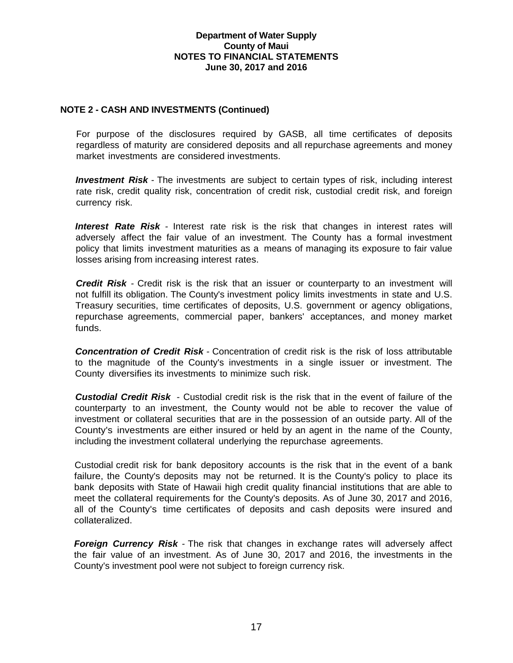### **NOTE 2 - CASH AND INVESTMENTS (Continued)**

For purpose of the disclosures required by GASB, all time certificates of deposits regardless of maturity are considered deposits and all repurchase agreements and money market investments are considered investments.

**Investment Risk** - The investments are subject to certain types of risk, including interest rate risk, credit quality risk, concentration of credit risk, custodial credit risk, and foreign currency risk.

*Interest Rate Risk -* Interest rate risk is the risk that changes in interest rates will adversely affect the fair value of an investment. The County has a formal investment policy that limits investment maturities as a means of managing its exposure to fair value losses arising from increasing interest rates.

*Credit Risk -* Credit risk is the risk that an issuer or counterparty to an investment will not fulfill its obligation. The County's investment policy limits investments in state and U.S. Treasury securities, time certificates of deposits, U.S. government or agency obligations, repurchase agreements, commercial paper, bankers' acceptances, and money market funds.

*Concentration of Credit Risk -* Concentration of credit risk is the risk of loss attributable to the magnitude of the County's investments in a single issuer or investment. The County diversifies its investments to minimize such risk.

*Custodial Credit Risk -* Custodial credit risk is the risk that in the event of failure of the counterparty to an investment, the County would not be able to recover the value of investment or collateral securities that are in the possession of an outside party. All of the County's investments are either insured or held by an agent in the name of the County, including the investment collateral underlying the repurchase agreements.

Custodial credit risk for bank depository accounts is the risk that in the event of a bank failure, the County's deposits may not be returned. It is the County's policy to place its bank deposits with State of Hawaii high credit quality financial institutions that are able to meet the collateral requirements for the County's deposits. As of June 30, 2017 and 2016, all of the County's time certificates of deposits and cash deposits were insured and collateralized.

*Foreign Currency Risk -* The risk that changes in exchange rates will adversely affect the fair value of an investment. As of June 30, 2017 and 2016, the investments in the County's investment pool were not subject to foreign currency risk.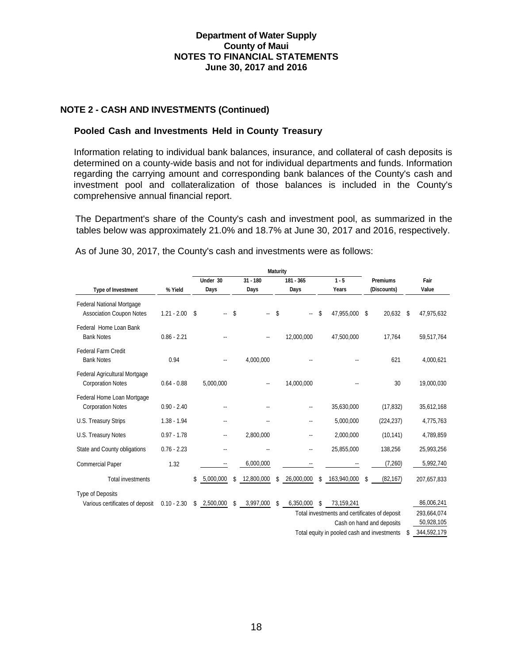### **NOTE 2 - CASH AND INVESTMENTS (Continued)**

#### **Pooled Cash and Investments Held in County Treasury**

Information relating to individual bank balances, insurance, and collateral of cash deposits is determined on a county-wide basis and not for individual departments and funds. Information regarding the carrying amount and corresponding bank balances of the County's cash and investment pool and collateralization of those balances is included in the County's comprehensive annual financial report.

The Department's share of the County's cash and investment pool, as summarized in the tables below was approximately 21.0% and 18.7% at June 30, 2017 and 2016, respectively.

|                                                              | Maturity      |                          |                            |                          |                                               |                           |                  |  |
|--------------------------------------------------------------|---------------|--------------------------|----------------------------|--------------------------|-----------------------------------------------|---------------------------|------------------|--|
|                                                              |               | Under 30                 | $31 - 180$                 | 181 - 365                | $1 - 5$                                       | Premiums                  | Fair             |  |
| Type of Investment                                           | % Yield       | Days                     | Days                       | Days                     | Years                                         | (Discounts)               | Value            |  |
| Federal National Mortgage<br><b>Association Coupon Notes</b> | $1.21 - 2.00$ | S                        | \$<br>$\sim$               | <sup>\$</sup>            | \$<br>47,955,000                              | $20,632$ \$<br>\$         | 47,975,632       |  |
| Federal Home Loan Bank<br><b>Bank Notes</b>                  | $0.86 - 2.21$ |                          |                            | 12,000,000               | 47,500,000                                    | 17,764                    | 59,517,764       |  |
| <b>Federal Farm Credit</b><br><b>Bank Notes</b>              | 0.94          |                          | 4,000,000                  |                          |                                               | 621                       | 4,000,621        |  |
| Federal Agricultural Mortgage<br><b>Corporation Notes</b>    | $0.64 - 0.88$ | 5.000.000                | --                         | 14.000.000               |                                               | 30                        | 19,000,030       |  |
| Federal Home Loan Mortgage<br><b>Corporation Notes</b>       | $0.90 - 2.40$ |                          |                            |                          | 35,630,000                                    | (17, 832)                 | 35,612,168       |  |
| U.S. Treasury Strips                                         | $1.38 - 1.94$ |                          |                            | $\overline{a}$           | 5,000,000                                     | (224, 237)                | 4,775,763        |  |
| U.S. Treasury Notes                                          | $0.97 - 1.78$ | $\overline{\phantom{a}}$ | 2,800,000                  | $\overline{a}$           | 2,000,000                                     | (10, 141)                 | 4,789,859        |  |
| State and County obligations                                 | $0.76 - 2.23$ | $-$                      |                            | $\overline{\phantom{a}}$ | 25,855,000                                    | 138,256                   | 25,993,256       |  |
| <b>Commercial Paper</b>                                      | 1.32          |                          | 6.000.000                  |                          |                                               | (7,260)                   | 5,992,740        |  |
| <b>Total investments</b>                                     |               | 5,000,000<br>\$          | 12,800,000<br>\$.          | 26,000,000<br>\$         | 163,940,000<br>\$                             | (82, 167)<br>\$.          | 207,657,833      |  |
| <b>Type of Deposits</b>                                      |               |                          |                            |                          |                                               |                           |                  |  |
| Various certificates of deposit                              | $0.10 - 2.30$ | 2,500,000<br>\$          | 3,997,000<br>$\mathsf{\$}$ | 6,350,000<br>\$          | 73,159,241<br>\$                              |                           | 86,006,241       |  |
|                                                              |               |                          |                            |                          | Total investments and certificates of deposit |                           | 293,664,074      |  |
|                                                              |               |                          |                            |                          |                                               | Cash on hand and deposits | 50,928,105       |  |
|                                                              |               |                          |                            |                          | Total equity in pooled cash and investments   |                           | 344,592,179<br>S |  |

As of June 30, 2017, the County's cash and investments were as follows: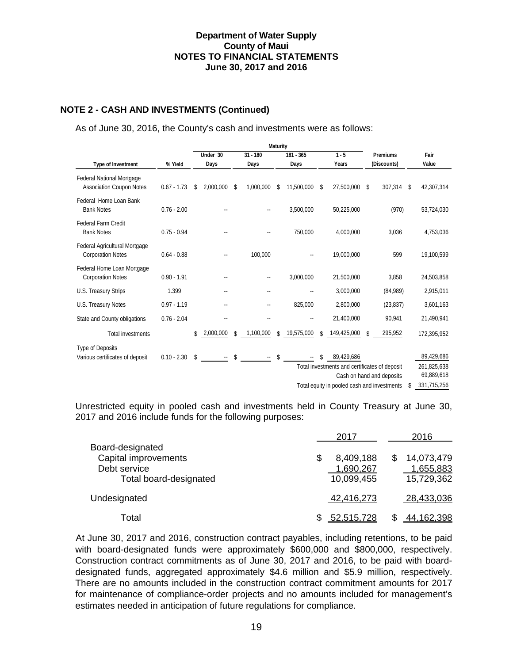### **NOTE 2 - CASH AND INVESTMENTS (Continued)**

As of June 30, 2016, the County's cash and investments were as follows:

|                                                              | Maturity      |    |              |    |                |               |             |    |                                               |             |                           |                   |
|--------------------------------------------------------------|---------------|----|--------------|----|----------------|---------------|-------------|----|-----------------------------------------------|-------------|---------------------------|-------------------|
|                                                              |               |    | Under 30     |    | $31 - 180$     |               | $181 - 365$ |    | $1 - 5$                                       |             | Premiums                  | Fair              |
| Type of Investment                                           | % Yield       |    | Days<br>Days |    |                | Days          | Years       |    |                                               | (Discounts) | Value                     |                   |
| Federal National Mortgage<br><b>Association Coupon Notes</b> | $0.67 - 1.73$ | \$ | 2,000,000    | S  | 1,000,000      | S             | 11,500,000  | \$ | 27,500,000                                    | \$          | 307,314                   | \$<br>42,307,314  |
| Federal Home Loan Bank<br><b>Bank Notes</b>                  | $0.76 - 2.00$ |    |              |    |                |               | 3,500,000   |    | 50,225,000                                    |             | (970)                     | 53,724,030        |
| <b>Federal Farm Credit</b><br><b>Bank Notes</b>              | $0.75 - 0.94$ |    |              |    |                |               | 750,000     |    | 4,000,000                                     |             | 3.036                     | 4,753,036         |
| Federal Agricultural Mortgage<br><b>Corporation Notes</b>    | $0.64 - 0.88$ |    |              |    | 100.000        |               |             |    | 19,000,000                                    |             | 599                       | 19,100,599        |
| Federal Home Loan Mortgage<br><b>Corporation Notes</b>       | $0.90 - 1.91$ |    |              |    | $\overline{a}$ |               | 3,000,000   |    | 21,500,000                                    |             | 3,858                     | 24,503,858        |
| U.S. Treasury Strips                                         | 1.399         |    |              |    |                |               |             |    | 3,000,000                                     |             | (84,989)                  | 2,915,011         |
| U.S. Treasury Notes                                          | $0.97 - 1.19$ |    |              |    |                |               | 825,000     |    | 2,800,000                                     |             | (23, 837)                 | 3,601,163         |
| State and County obligations                                 | $0.76 - 2.04$ |    |              |    |                |               |             |    | 21,400,000                                    |             | 90,941                    | 21,490,941        |
| <b>Total investments</b>                                     |               | \$ | 2,000,000    | \$ | 1,100,000      | \$            | 19,575,000  | \$ | 149,425,000                                   | \$          | 295,952                   | 172,395,952       |
| <b>Type of Deposits</b>                                      |               |    |              |    |                |               |             |    |                                               |             |                           |                   |
| Various certificates of deposit                              | $0.10 - 2.30$ | \$ |              | \$ |                | $\mathsf{\$}$ |             |    | 89,429,686                                    |             |                           | 89,429,686        |
|                                                              |               |    |              |    |                |               |             |    | Total investments and certificates of deposit |             |                           | 261,825,638       |
|                                                              |               |    |              |    |                |               |             |    |                                               |             | Cash on hand and deposits | 69,889,618        |
|                                                              |               |    |              |    |                |               |             |    | Total equity in pooled cash and investments   |             |                           | \$<br>331,715,256 |

Unrestricted equity in pooled cash and investments held in County Treasury at June 30, 2017 and 2016 include funds for the following purposes:

|                                                                                    | 2017                                 | 2016                                  |
|------------------------------------------------------------------------------------|--------------------------------------|---------------------------------------|
| Board-designated<br>Capital improvements<br>Debt service<br>Total board-designated | 8,409,188<br>1,690,267<br>10,099,455 | 14,073,479<br>1,655,883<br>15,729,362 |
| Undesignated                                                                       | 42,416,273                           | 28,433,036                            |
| Total                                                                              | \$ 52,515,728                        | 44,162,398                            |

At June 30, 2017 and 2016, construction contract payables, including retentions, to be paid with board-designated funds were approximately \$600,000 and \$800,000, respectively. Construction contract commitments as of June 30, 2017 and 2016, to be paid with boarddesignated funds, aggregated approximately \$4.6 million and \$5.9 million, respectively. There are no amounts included in the construction contract commitment amounts for 2017 for maintenance of compliance-order projects and no amounts included for management's estimates needed in anticipation of future regulations for compliance.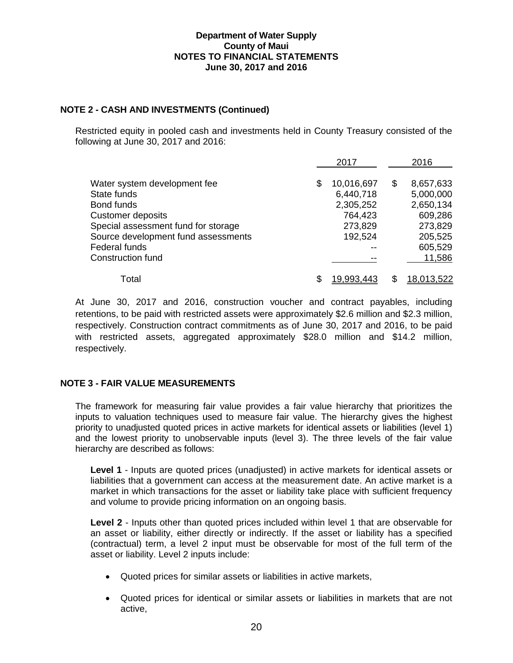### **NOTE 2 - CASH AND INVESTMENTS (Continued)**

Restricted equity in pooled cash and investments held in County Treasury consisted of the following at June 30, 2017 and 2016:

|                                     |   | 2017       |    | 2016              |
|-------------------------------------|---|------------|----|-------------------|
| Water system development fee        | S | 10,016,697 | \$ | 8,657,633         |
| State funds                         |   | 6,440,718  |    | 5,000,000         |
| Bond funds                          |   | 2,305,252  |    | 2,650,134         |
| <b>Customer deposits</b>            |   | 764,423    |    | 609,286           |
| Special assessment fund for storage |   | 273,829    |    | 273,829           |
| Source development fund assessments |   | 192,524    |    | 205,525           |
| Federal funds                       |   |            |    | 605,529           |
| Construction fund                   |   |            |    | 11,586            |
| Total                               | S | 19.993.443 | S  | <u>18,013,522</u> |

At June 30, 2017 and 2016, construction voucher and contract payables, including retentions, to be paid with restricted assets were approximately \$2.6 million and \$2.3 million, respectively. Construction contract commitments as of June 30, 2017 and 2016, to be paid with restricted assets, aggregated approximately \$28.0 million and \$14.2 million, respectively.

## **NOTE 3 - FAIR VALUE MEASUREMENTS**

The framework for measuring fair value provides a fair value hierarchy that prioritizes the inputs to valuation techniques used to measure fair value. The hierarchy gives the highest priority to unadjusted quoted prices in active markets for identical assets or liabilities (level 1) and the lowest priority to unobservable inputs (level 3). The three levels of the fair value hierarchy are described as follows:

**Level 1** - Inputs are quoted prices (unadjusted) in active markets for identical assets or liabilities that a government can access at the measurement date. An active market is a market in which transactions for the asset or liability take place with sufficient frequency and volume to provide pricing information on an ongoing basis.

**Level 2** - Inputs other than quoted prices included within level 1 that are observable for an asset or liability, either directly or indirectly. If the asset or liability has a specified (contractual) term, a level 2 input must be observable for most of the full term of the asset or liability. Level 2 inputs include:

- Quoted prices for similar assets or liabilities in active markets,
- Quoted prices for identical or similar assets or liabilities in markets that are not active,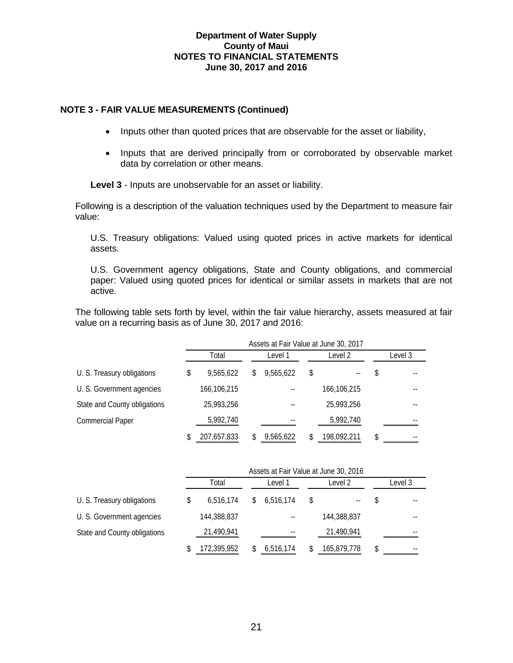### **NOTE 3 - FAIR VALUE MEASUREMENTS (Continued)**

- Inputs other than quoted prices that are observable for the asset or liability,
- Inputs that are derived principally from or corroborated by observable market data by correlation or other means.

**Level 3** - Inputs are unobservable for an asset or liability.

 Following is a description of the valuation techniques used by the Department to measure fair value:

 U.S. Treasury obligations: Valued using quoted prices in active markets for identical assets.

 U.S. Government agency obligations, State and County obligations, and commercial paper: Valued using quoted prices for identical or similar assets in markets that are not active.

The following table sets forth by level, within the fair value hierarchy, assets measured at fair value on a recurring basis as of June 30, 2017 and 2016:

|                              |    | Assets at Fair Value at June 30, 2017 |    |           |    |                          |         |  |  |  |
|------------------------------|----|---------------------------------------|----|-----------|----|--------------------------|---------|--|--|--|
|                              |    | Total                                 |    | Level 1   |    | Level 2                  | Level 3 |  |  |  |
| U. S. Treasury obligations   | \$ | 9.565.622                             | \$ | 9,565,622 | \$ | $\overline{\phantom{a}}$ | \$      |  |  |  |
| U. S. Government agencies    |    | 166,106,215                           |    |           |    | 166,106,215              |         |  |  |  |
| State and County obligations |    | 25.993.256                            |    |           |    | 25,993,256               |         |  |  |  |
| <b>Commercial Paper</b>      |    | 5,992,740                             |    | $- -$     |    | 5,992,740                |         |  |  |  |
|                              |    | 207,657,833                           |    | 9.565.622 |    | 198,092,211              | \$      |  |  |  |

|                              | Assets at Fair Value at June 30, 2016 |             |  |                   |    |             |         |    |  |
|------------------------------|---------------------------------------|-------------|--|-------------------|----|-------------|---------|----|--|
|                              | Total                                 |             |  | Level 1           |    | Level 2     | Level 3 |    |  |
| U. S. Treasury obligations   | \$                                    | 6.516.174   |  | 6,516,174         | \$ | --          | \$      | -- |  |
| U. S. Government agencies    |                                       | 144,388,837 |  |                   |    | 144,388,837 |         |    |  |
| State and County obligations |                                       | 21,490,941  |  | $\qquad \qquad -$ |    | 21,490,941  |         | -- |  |
|                              |                                       | 172,395,952 |  | 6,516,174         |    | 165,879,778 | \$      | -- |  |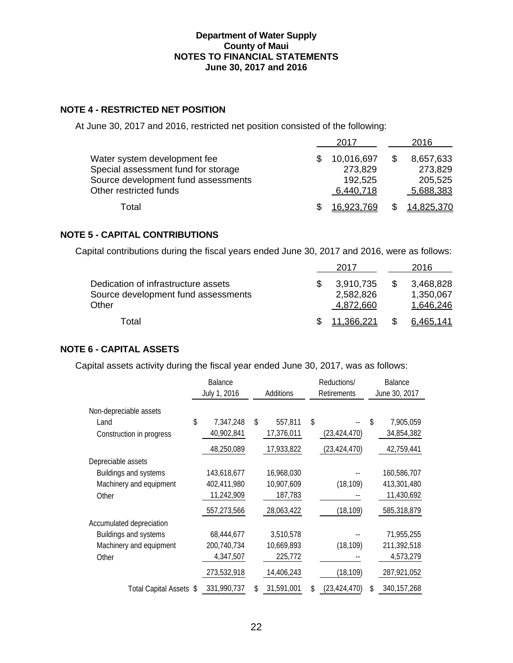## **NOTE 4 - RESTRICTED NET POSITION**

At June 30, 2017 and 2016, restricted net position consisted of the following:

|                                     | 2017       | 2016       |
|-------------------------------------|------------|------------|
| Water system development fee        | 10,016,697 | 8,657,633  |
| Special assessment fund for storage | 273,829    | 273,829    |
| Source development fund assessments | 192,525    | 205,525    |
| Other restricted funds              | 6,440,718  | 5,688,383  |
| Total                               | 16,923,769 | 14,825,370 |

## **NOTE 5 - CAPITAL CONTRIBUTIONS**

Capital contributions during the fiscal years ended June 30, 2017 and 2016, were as follows:

|                                              | 2017                   | 2016                   |
|----------------------------------------------|------------------------|------------------------|
| Dedication of infrastructure assets          | 3,910,735              | 3,468,828              |
| Source development fund assessments<br>Other | 2,582,826<br>4,872,660 | 1,350,067<br>1,646,246 |
| Total                                        | 11.366.221             | 6.465.141              |

## **NOTE 6 - CAPITAL ASSETS**

Capital assets activity during the fiscal year ended June 30, 2017, was as follows:

|                          | <b>Balance</b>  |                  | Reductions/          | <b>Balance</b>      |  |  |
|--------------------------|-----------------|------------------|----------------------|---------------------|--|--|
|                          | July 1, 2016    | Additions        | Retirements          | June 30, 2017       |  |  |
| Non-depreciable assets   |                 |                  |                      |                     |  |  |
| Land                     | \$<br>7,347,248 | \$<br>557,811    | \$                   | \$<br>7,905,059     |  |  |
| Construction in progress | 40,902,841      | 17,376,011       | (23, 424, 470)       | 34,854,382          |  |  |
|                          | 48,250,089      | 17,933,822       | (23, 424, 470)       | 42,759,441          |  |  |
| Depreciable assets       |                 |                  |                      |                     |  |  |
| Buildings and systems    | 143,618,677     | 16,968,030       |                      | 160,586,707         |  |  |
| Machinery and equipment  | 402,411,980     | 10,907,609       | (18, 109)            | 413,301,480         |  |  |
| Other                    | 11,242,909      | 187,783          |                      | 11,430,692          |  |  |
|                          | 557,273,566     | 28,063,422       | (18, 109)            | 585,318,879         |  |  |
| Accumulated depreciation |                 |                  |                      |                     |  |  |
| Buildings and systems    | 68,444,677      | 3,510,578        |                      | 71,955,255          |  |  |
| Machinery and equipment  | 200,740,734     | 10,669,893       | (18, 109)            | 211,392,518         |  |  |
| Other                    | 4,347,507       | 225,772          |                      | 4,573,279           |  |  |
|                          | 273,532,918     | 14,406,243       | (18, 109)            | 287,921,052         |  |  |
| Total Capital Assets \$  | 331,990,737     | 31,591,001<br>\$ | (23, 424, 470)<br>\$ | 340, 157, 268<br>\$ |  |  |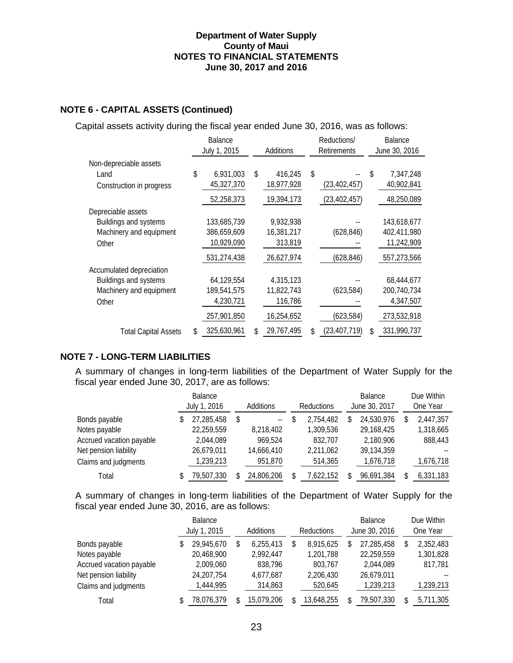## **NOTE 6 - CAPITAL ASSETS (Continued)**

## Capital assets activity during the fiscal year ended June 30, 2016, was as follows:

|                             | <b>Balance</b><br>July 1, 2015 | Additions        |     | Reductions/<br>Retirements | <b>Balance</b><br>June 30, 2016 |             |
|-----------------------------|--------------------------------|------------------|-----|----------------------------|---------------------------------|-------------|
| Non-depreciable assets      |                                |                  |     |                            |                                 |             |
| Land                        | \$<br>6,931,003                | \$<br>416,245    | \$  |                            | S.                              | 7,347,248   |
| Construction in progress    | 45,327,370                     | 18,977,928       |     | (23, 402, 457)             |                                 | 40,902,841  |
|                             | 52,258,373                     | 19,394,173       |     | (23, 402, 457)             |                                 | 48,250,089  |
| Depreciable assets          |                                |                  |     |                            |                                 |             |
| Buildings and systems       | 133,685,739                    | 9,932,938        |     |                            |                                 | 143,618,677 |
| Machinery and equipment     | 386,659,609                    | 16,381,217       |     | (628, 846)                 |                                 | 402,411,980 |
| Other                       | 10,929,090                     | 313,819          |     |                            |                                 | 11,242,909  |
|                             | 531,274,438                    | 26,627,974       |     | (628, 846)                 |                                 | 557,273,566 |
| Accumulated depreciation    |                                |                  |     |                            |                                 |             |
| Buildings and systems       | 64,129,554                     | 4,315,123        |     |                            |                                 | 68,444,677  |
| Machinery and equipment     | 189,541,575                    | 11,822,743       |     | (623, 584)                 |                                 | 200,740,734 |
| Other                       | 4,230,721                      | 116,786          |     |                            |                                 | 4,347,507   |
|                             | 257,901,850                    | 16,254,652       |     | (623, 584)                 |                                 | 273,532,918 |
| <b>Total Capital Assets</b> | \$<br>325,630,961              | \$<br>29,767,495 | \$. | (23, 407, 719)             | S.                              | 331,990,737 |

### **NOTE 7 - LONG-TERM LIABILITIES**

A summary of changes in long-term liabilities of the Department of Water Supply for the fiscal year ended June 30, 2017, are as follows:

|                          | <b>Balance</b> |                                |  |           |               | <b>Balance</b> | Due Within |
|--------------------------|----------------|--------------------------------|--|-----------|---------------|----------------|------------|
|                          | July 1, 2016   | Additions<br><b>Reductions</b> |  |           | June 30, 2017 |                | One Year   |
| Bonds payable            | 27,285,458     | \$<br>$\overline{\phantom{a}}$ |  | 2.754.482 | S             | 24,530,976     | 2,447,357  |
| Notes payable            | 22,259,559     | 8,218,402                      |  | 1,309,536 |               | 29,168,425     | 1,318,665  |
| Accrued vacation payable | 2.044.089      | 969.524                        |  | 832.707   |               | 2.180.906      | 888,443    |
| Net pension liability    | 26,679,011     | 14,666,410                     |  | 2,211,062 |               | 39,134,359     |            |
| Claims and judgments     | 1,239,213      | 951,870                        |  | 514,365   |               | 1,676,718      | 1,676,718  |
| Total                    | 79,507,330     | 24,806,206                     |  | 7.622.152 |               | 96.691.384     | 6,331,183  |

A summary of changes in long-term liabilities of the Department of Water Supply for the fiscal year ended June 30, 2016, are as follows:

|                          | <b>Balance</b><br>July 1, 2015 | Additions       | Reductions | <b>Balance</b><br>June 30, 2016 | Due Within<br>One Year |
|--------------------------|--------------------------------|-----------------|------------|---------------------------------|------------------------|
| Bonds payable            | 29,945,670                     | \$<br>6,255,413 | 8,915,625  | 27,285,458                      | 2,352,483              |
| Notes payable            | 20,468,900                     | 2.992.447       | 1,201,788  | 22,259,559                      | 1,301,828              |
| Accrued vacation payable | 2,009,060                      | 838,796         | 803.767    | 2.044.089                       | 817.781                |
| Net pension liability    | 24,207,754                     | 4.677.687       | 2,206,430  | 26,679,011                      |                        |
| Claims and judgments     | 1,444,995                      | 314,863         | 520,645    | 1,239,213                       | 1,239,213              |
| Total                    | 78,076,379                     | 15.079.206      | 13.648.255 | \$<br>79,507,330                | 5,711,305              |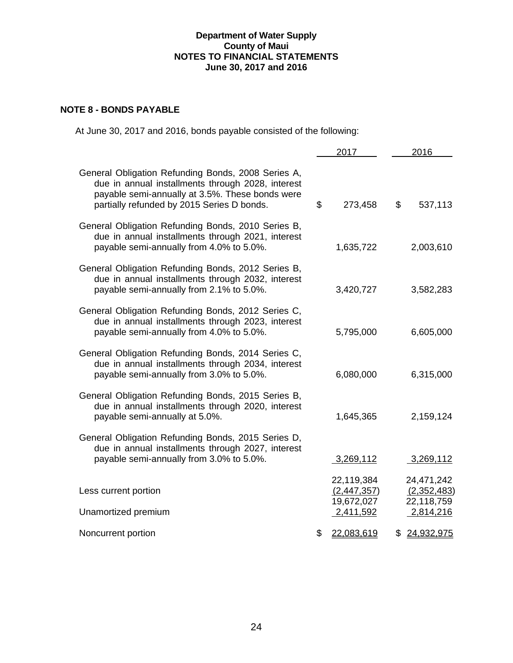# **NOTE 8 - BONDS PAYABLE**

At June 30, 2017 and 2016, bonds payable consisted of the following:

|                                                                                                                                                                                                          | 2017                                    | 2016                                    |  |  |
|----------------------------------------------------------------------------------------------------------------------------------------------------------------------------------------------------------|-----------------------------------------|-----------------------------------------|--|--|
| General Obligation Refunding Bonds, 2008 Series A,<br>due in annual installments through 2028, interest<br>payable semi-annually at 3.5%. These bonds were<br>partially refunded by 2015 Series D bonds. | \$<br>273,458                           | \$<br>537,113                           |  |  |
| General Obligation Refunding Bonds, 2010 Series B,<br>due in annual installments through 2021, interest<br>payable semi-annually from 4.0% to 5.0%.                                                      | 1,635,722                               | 2,003,610                               |  |  |
| General Obligation Refunding Bonds, 2012 Series B,<br>due in annual installments through 2032, interest<br>payable semi-annually from 2.1% to 5.0%.                                                      | 3,420,727                               | 3,582,283                               |  |  |
| General Obligation Refunding Bonds, 2012 Series C,<br>due in annual installments through 2023, interest<br>payable semi-annually from 4.0% to 5.0%.                                                      | 5,795,000                               | 6,605,000                               |  |  |
| General Obligation Refunding Bonds, 2014 Series C,<br>due in annual installments through 2034, interest<br>payable semi-annually from 3.0% to 5.0%.                                                      | 6,080,000                               | 6,315,000                               |  |  |
| General Obligation Refunding Bonds, 2015 Series B,<br>due in annual installments through 2020, interest<br>payable semi-annually at 5.0%.                                                                | 1,645,365                               | 2,159,124                               |  |  |
| General Obligation Refunding Bonds, 2015 Series D,<br>due in annual installments through 2027, interest<br>payable semi-annually from 3.0% to 5.0%.                                                      | 3,269,112                               | <u>3,269,112</u>                        |  |  |
| Less current portion                                                                                                                                                                                     | 22,119,384<br>(2,447,357)<br>19,672,027 | 24,471,242<br>(2,352,483)<br>22,118,759 |  |  |
| Unamortized premium                                                                                                                                                                                      | 2,411,592                               | 2,814,216                               |  |  |
| Noncurrent portion                                                                                                                                                                                       | \$<br>22,083,619                        | \$24,932,975                            |  |  |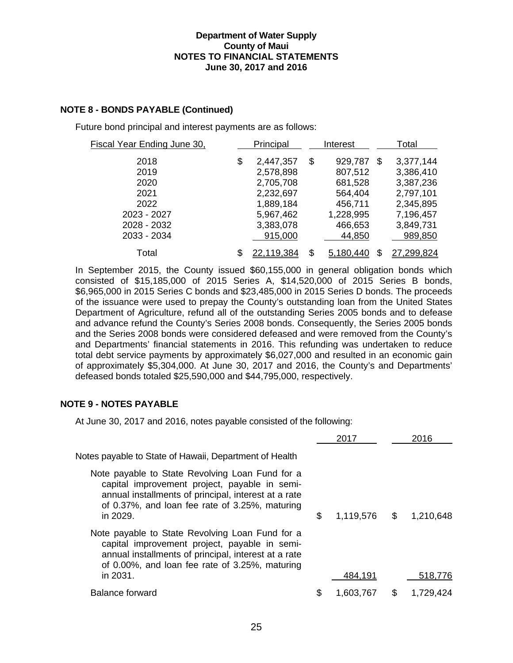## **NOTE 8 - BONDS PAYABLE (Continued)**

Future bond principal and interest payments are as follows:

| Fiscal Year Ending June 30, |    | Principal         | Interest      |    | Total            |  |
|-----------------------------|----|-------------------|---------------|----|------------------|--|
| 2018                        | \$ | 2,447,357         | \$<br>929,787 | \$ | 3,377,144        |  |
| 2019                        |    | 2,578,898         | 807,512       |    | 3,386,410        |  |
| 2020                        |    | 2,705,708         | 681,528       |    | 3,387,236        |  |
| 2021                        |    | 2,232,697         | 564,404       |    | 2,797,101        |  |
| 2022                        |    | 1,889,184         | 456,711       |    | 2,345,895        |  |
| 2023 - 2027                 |    | 5,967,462         | 1,228,995     |    | 7,196,457        |  |
| 2028 - 2032                 |    | 3,383,078         | 466,653       |    | 3,849,731        |  |
| 2033 - 2034                 |    | 915,000           | 44,850        |    | 989,850          |  |
| Total                       | S  | <u>22,119,384</u> | \$            | S. | <u>299,824</u> / |  |

In September 2015, the County issued \$60,155,000 in general obligation bonds which consisted of \$15,185,000 of 2015 Series A, \$14,520,000 of 2015 Series B bonds, \$6,965,000 in 2015 Series C bonds and \$23,485,000 in 2015 Series D bonds. The proceeds of the issuance were used to prepay the County's outstanding loan from the United States Department of Agriculture, refund all of the outstanding Series 2005 bonds and to defease and advance refund the County's Series 2008 bonds. Consequently, the Series 2005 bonds and the Series 2008 bonds were considered defeased and were removed from the County's and Departments' financial statements in 2016. This refunding was undertaken to reduce total debt service payments by approximately \$6,027,000 and resulted in an economic gain of approximately \$5,304,000. At June 30, 2017 and 2016, the County's and Departments' defeased bonds totaled \$25,590,000 and \$44,795,000, respectively.

### **NOTE 9 - NOTES PAYABLE**

At June 30, 2017 and 2016, notes payable consisted of the following:

|                                                                                                                                                                                                                        | 2017            | 2016            |
|------------------------------------------------------------------------------------------------------------------------------------------------------------------------------------------------------------------------|-----------------|-----------------|
| Notes payable to State of Hawaii, Department of Health                                                                                                                                                                 |                 |                 |
| Note payable to State Revolving Loan Fund for a<br>capital improvement project, payable in semi-<br>annual installments of principal, interest at a rate<br>of 0.37%, and loan fee rate of 3.25%, maturing<br>in 2029. | \$<br>1,119,576 | \$<br>1,210,648 |
| Note payable to State Revolving Loan Fund for a<br>capital improvement project, payable in semi-<br>annual installments of principal, interest at a rate<br>of 0.00%, and loan fee rate of 3.25%, maturing<br>in 2031. | 484,191         | 518,776         |
|                                                                                                                                                                                                                        |                 |                 |
| <b>Balance forward</b>                                                                                                                                                                                                 | \$<br>1,603,767 | 1,729,424       |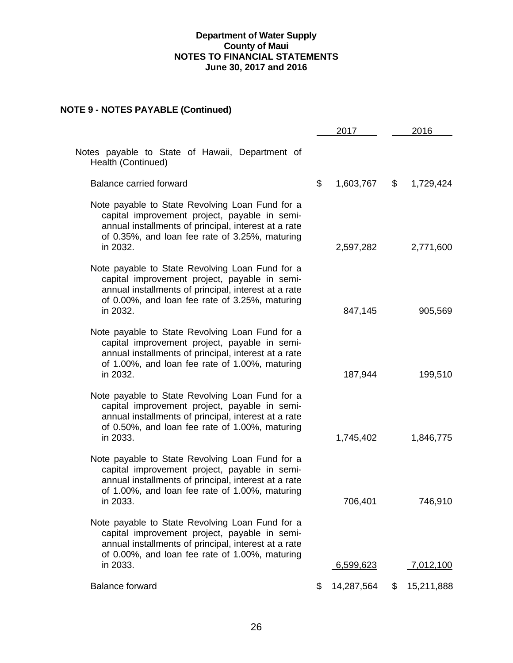# **NOTE 9 - NOTES PAYABLE (Continued)**

|                                                                                                                                                                                                                        | 2017             | 2016             |
|------------------------------------------------------------------------------------------------------------------------------------------------------------------------------------------------------------------------|------------------|------------------|
| Notes payable to State of Hawaii, Department of<br>Health (Continued)                                                                                                                                                  |                  |                  |
| <b>Balance carried forward</b>                                                                                                                                                                                         | \$<br>1,603,767  | \$<br>1,729,424  |
| Note payable to State Revolving Loan Fund for a<br>capital improvement project, payable in semi-<br>annual installments of principal, interest at a rate<br>of 0.35%, and loan fee rate of 3.25%, maturing<br>in 2032. | 2,597,282        | 2,771,600        |
| Note payable to State Revolving Loan Fund for a<br>capital improvement project, payable in semi-<br>annual installments of principal, interest at a rate<br>of 0.00%, and loan fee rate of 3.25%, maturing<br>in 2032. | 847,145          | 905,569          |
| Note payable to State Revolving Loan Fund for a<br>capital improvement project, payable in semi-<br>annual installments of principal, interest at a rate<br>of 1.00%, and loan fee rate of 1.00%, maturing<br>in 2032. | 187,944          | 199,510          |
| Note payable to State Revolving Loan Fund for a<br>capital improvement project, payable in semi-<br>annual installments of principal, interest at a rate<br>of 0.50%, and loan fee rate of 1.00%, maturing<br>in 2033. | 1,745,402        | 1,846,775        |
| Note payable to State Revolving Loan Fund for a<br>capital improvement project, payable in semi-<br>annual installments of principal, interest at a rate<br>of 1.00%, and loan fee rate of 1.00%, maturing<br>in 2033. | 706,401          | 746,910          |
| Note payable to State Revolving Loan Fund for a<br>capital improvement project, payable in semi-<br>annual installments of principal, interest at a rate<br>of 0.00%, and loan fee rate of 1.00%, maturing<br>in 2033. | <u>6,599,623</u> | 7,012,100        |
| <b>Balance forward</b>                                                                                                                                                                                                 | \$<br>14,287,564 | \$<br>15,211,888 |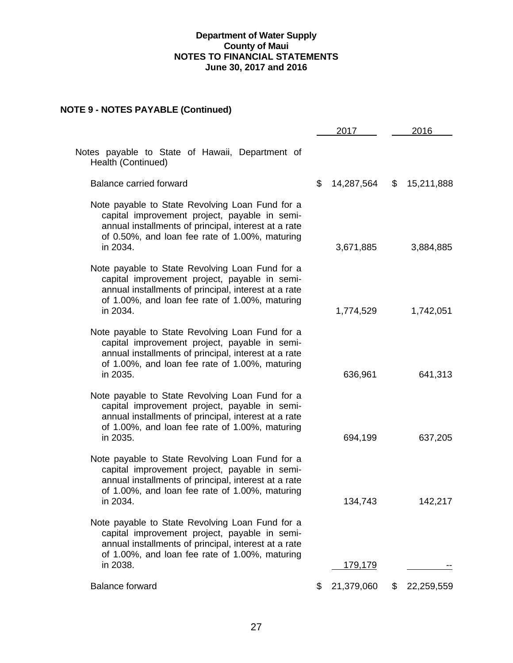# **NOTE 9 - NOTES PAYABLE (Continued)**

|                                                                                                                                                                                                                        | 2017             | 2016             |
|------------------------------------------------------------------------------------------------------------------------------------------------------------------------------------------------------------------------|------------------|------------------|
| Notes payable to State of Hawaii, Department of<br>Health (Continued)                                                                                                                                                  |                  |                  |
| <b>Balance carried forward</b>                                                                                                                                                                                         | \$<br>14,287,564 | \$<br>15,211,888 |
| Note payable to State Revolving Loan Fund for a<br>capital improvement project, payable in semi-<br>annual installments of principal, interest at a rate<br>of 0.50%, and loan fee rate of 1.00%, maturing<br>in 2034. | 3,671,885        | 3,884,885        |
| Note payable to State Revolving Loan Fund for a<br>capital improvement project, payable in semi-<br>annual installments of principal, interest at a rate<br>of 1.00%, and loan fee rate of 1.00%, maturing<br>in 2034. | 1,774,529        | 1,742,051        |
| Note payable to State Revolving Loan Fund for a<br>capital improvement project, payable in semi-<br>annual installments of principal, interest at a rate<br>of 1.00%, and loan fee rate of 1.00%, maturing<br>in 2035. | 636,961          | 641,313          |
| Note payable to State Revolving Loan Fund for a<br>capital improvement project, payable in semi-<br>annual installments of principal, interest at a rate<br>of 1.00%, and loan fee rate of 1.00%, maturing<br>in 2035. | 694,199          | 637,205          |
| Note payable to State Revolving Loan Fund for a<br>capital improvement project, payable in semi-<br>annual installments of principal, interest at a rate<br>of 1.00%, and loan fee rate of 1.00%, maturing<br>in 2034. | 134,743          | 142,217          |
| Note payable to State Revolving Loan Fund for a<br>capital improvement project, payable in semi-<br>annual installments of principal, interest at a rate<br>of 1.00%, and loan fee rate of 1.00%, maturing<br>in 2038. | <u>179,179</u>   |                  |
| <b>Balance forward</b>                                                                                                                                                                                                 | \$<br>21,379,060 | \$<br>22,259,559 |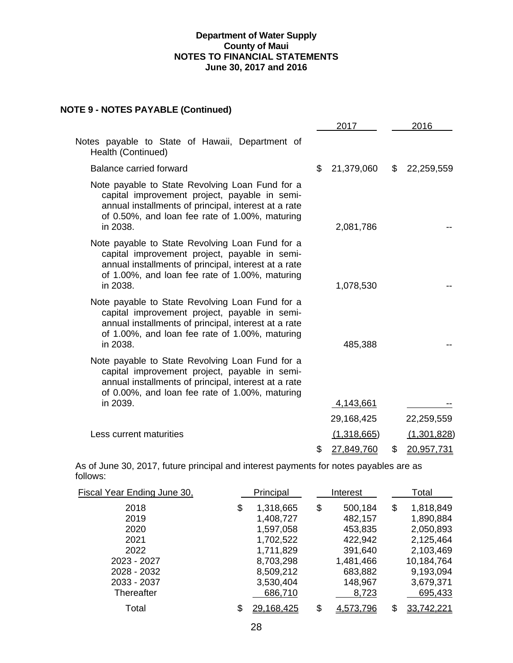# **NOTE 9 - NOTES PAYABLE (Continued)**

|                                                                                                                                                                                                                        | 2017             | 2016             |
|------------------------------------------------------------------------------------------------------------------------------------------------------------------------------------------------------------------------|------------------|------------------|
| Notes payable to State of Hawaii, Department of<br>Health (Continued)                                                                                                                                                  |                  |                  |
| <b>Balance carried forward</b>                                                                                                                                                                                         | \$<br>21,379,060 | \$<br>22,259,559 |
| Note payable to State Revolving Loan Fund for a<br>capital improvement project, payable in semi-<br>annual installments of principal, interest at a rate<br>of 0.50%, and loan fee rate of 1.00%, maturing<br>in 2038. | 2,081,786        |                  |
| Note payable to State Revolving Loan Fund for a<br>capital improvement project, payable in semi-<br>annual installments of principal, interest at a rate<br>of 1.00%, and loan fee rate of 1.00%, maturing<br>in 2038. | 1,078,530        |                  |
| Note payable to State Revolving Loan Fund for a<br>capital improvement project, payable in semi-<br>annual installments of principal, interest at a rate<br>of 1.00%, and loan fee rate of 1.00%, maturing<br>in 2038. | 485,388          |                  |
| Note payable to State Revolving Loan Fund for a<br>capital improvement project, payable in semi-<br>annual installments of principal, interest at a rate<br>of 0.00%, and loan fee rate of 1.00%, maturing             |                  |                  |
| in 2039.                                                                                                                                                                                                               | 4,143,661        |                  |
|                                                                                                                                                                                                                        | 29,168,425       | 22,259,559       |
| Less current maturities                                                                                                                                                                                                | (1,318,665)      | (1,301,828)      |
|                                                                                                                                                                                                                        | \$<br>27,849,760 | \$<br>20,957,731 |

As of June 30, 2017, future principal and interest payments for notes payables are as follows:

| <b>Fiscal Year Ending June 30,</b> |    | Principal         | Interest        |    | Total      |
|------------------------------------|----|-------------------|-----------------|----|------------|
| 2018                               | \$ | 1,318,665         | \$<br>500,184   | \$ | 1,818,849  |
| 2019                               |    | 1,408,727         | 482,157         |    | 1,890,884  |
| 2020                               |    | 1,597,058         | 453,835         |    | 2,050,893  |
| 2021                               |    | 1,702,522         | 422,942         |    | 2,125,464  |
| 2022                               |    | 1,711,829         | 391,640         |    | 2,103,469  |
| 2023 - 2027                        |    | 8,703,298         | 1,481,466       |    | 10,184,764 |
| 2028 - 2032                        |    | 8,509,212         | 683,882         |    | 9,193,094  |
| 2033 - 2037                        |    | 3,530,404         | 148,967         |    | 3,679,371  |
| <b>Thereafter</b>                  |    | 686,710           | 8,723           |    | 695,433    |
| Total                              | S  | <u>29,168,425</u> | \$<br>4,573,796 | S. | 33,742,221 |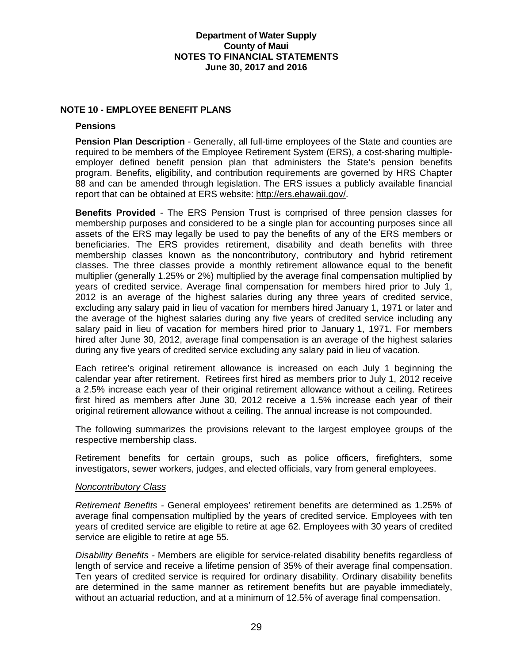### **NOTE 10 - EMPLOYEE BENEFIT PLANS**

#### **Pensions**

**Pension Plan Description** - Generally, all full-time employees of the State and counties are required to be members of the Employee Retirement System (ERS), a cost-sharing multipleemployer defined benefit pension plan that administers the State's pension benefits program. Benefits, eligibility, and contribution requirements are governed by HRS Chapter 88 and can be amended through legislation. The ERS issues a publicly available financial report that can be obtained at ERS website: http://ers.ehawaii.gov/.

**Benefits Provided** *-* The ERS Pension Trust is comprised of three pension classes for membership purposes and considered to be a single plan for accounting purposes since all assets of the ERS may legally be used to pay the benefits of any of the ERS members or beneficiaries. The ERS provides retirement, disability and death benefits with three membership classes known as the noncontributory, contributory and hybrid retirement classes. The three classes provide a monthly retirement allowance equal to the benefit multiplier (generally 1.25% or 2%) multiplied by the average final compensation multiplied by years of credited service. Average final compensation for members hired prior to July 1, 2012 is an average of the highest salaries during any three years of credited service, excluding any salary paid in lieu of vacation for members hired January 1, 1971 or later and the average of the highest salaries during any five years of credited service including any salary paid in lieu of vacation for members hired prior to January 1, 1971. For members hired after June 30, 2012, average final compensation is an average of the highest salaries during any five years of credited service excluding any salary paid in lieu of vacation.

Each retiree's original retirement allowance is increased on each July 1 beginning the calendar year after retirement. Retirees first hired as members prior to July 1, 2012 receive a 2.5% increase each year of their original retirement allowance without a ceiling. Retirees first hired as members after June 30, 2012 receive a 1.5% increase each year of their original retirement allowance without a ceiling. The annual increase is not compounded.

The following summarizes the provisions relevant to the largest employee groups of the respective membership class.

Retirement benefits for certain groups, such as police officers, firefighters, some investigators, sewer workers, judges, and elected officials, vary from general employees.

#### *Noncontributory Class*

*Retirement Benefits -* General employees' retirement benefits are determined as 1.25% of average final compensation multiplied by the years of credited service. Employees with ten years of credited service are eligible to retire at age 62. Employees with 30 years of credited service are eligible to retire at age 55.

*Disability Benefits -* Members are eligible for service-related disability benefits regardless of length of service and receive a lifetime pension of 35% of their average final compensation. Ten years of credited service is required for ordinary disability. Ordinary disability benefits are determined in the same manner as retirement benefits but are payable immediately, without an actuarial reduction, and at a minimum of 12.5% of average final compensation.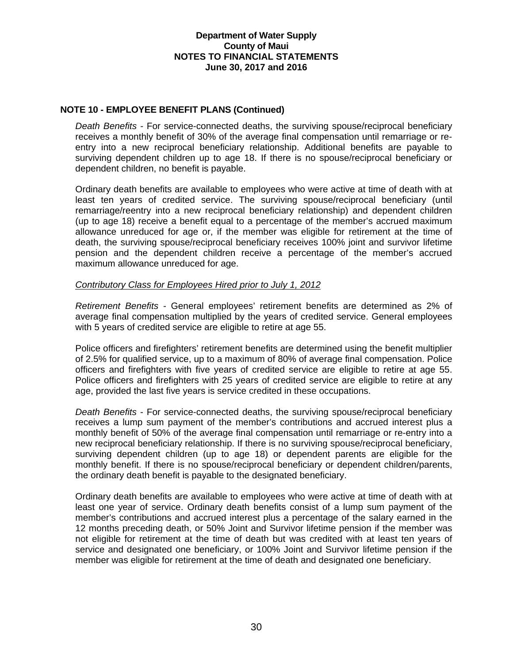### **NOTE 10 - EMPLOYEE BENEFIT PLANS (Continued)**

*Death Benefits -* For service-connected deaths, the surviving spouse/reciprocal beneficiary receives a monthly benefit of 30% of the average final compensation until remarriage or reentry into a new reciprocal beneficiary relationship. Additional benefits are payable to surviving dependent children up to age 18. If there is no spouse/reciprocal beneficiary or dependent children, no benefit is payable.

Ordinary death benefits are available to employees who were active at time of death with at least ten years of credited service. The surviving spouse/reciprocal beneficiary (until remarriage/reentry into a new reciprocal beneficiary relationship) and dependent children (up to age 18) receive a benefit equal to a percentage of the member's accrued maximum allowance unreduced for age or, if the member was eligible for retirement at the time of death, the surviving spouse/reciprocal beneficiary receives 100% joint and survivor lifetime pension and the dependent children receive a percentage of the member's accrued maximum allowance unreduced for age.

### *Contributory Class for Employees Hired prior to July 1, 2012*

*Retirement Benefits* - General employees' retirement benefits are determined as 2% of average final compensation multiplied by the years of credited service. General employees with 5 years of credited service are eligible to retire at age 55.

Police officers and firefighters' retirement benefits are determined using the benefit multiplier of 2.5% for qualified service, up to a maximum of 80% of average final compensation. Police officers and firefighters with five years of credited service are eligible to retire at age 55. Police officers and firefighters with 25 years of credited service are eligible to retire at any age, provided the last five years is service credited in these occupations.

*Death Benefits* - For service-connected deaths, the surviving spouse/reciprocal beneficiary receives a lump sum payment of the member's contributions and accrued interest plus a monthly benefit of 50% of the average final compensation until remarriage or re-entry into a new reciprocal beneficiary relationship. If there is no surviving spouse/reciprocal beneficiary, surviving dependent children (up to age 18) or dependent parents are eligible for the monthly benefit. If there is no spouse/reciprocal beneficiary or dependent children/parents, the ordinary death benefit is payable to the designated beneficiary.

Ordinary death benefits are available to employees who were active at time of death with at least one year of service. Ordinary death benefits consist of a lump sum payment of the member's contributions and accrued interest plus a percentage of the salary earned in the 12 months preceding death, or 50% Joint and Survivor lifetime pension if the member was not eligible for retirement at the time of death but was credited with at least ten years of service and designated one beneficiary, or 100% Joint and Survivor lifetime pension if the member was eligible for retirement at the time of death and designated one beneficiary.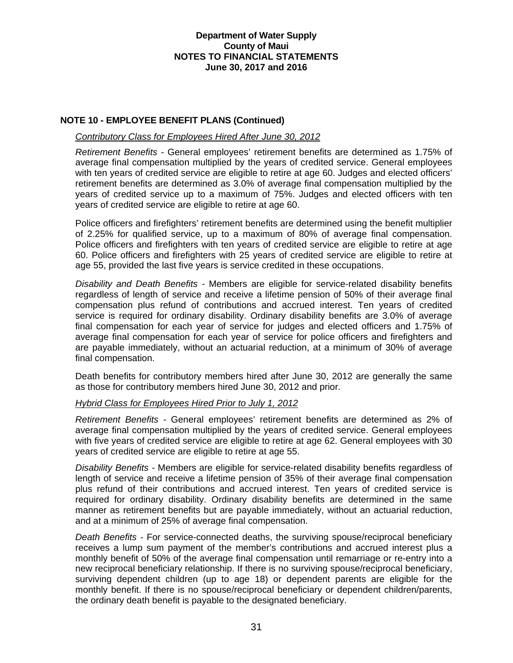## **NOTE 10 - EMPLOYEE BENEFIT PLANS (Continued)**

#### *Contributory Class for Employees Hired After June 30, 2012*

*Retirement Benefits -* General employees' retirement benefits are determined as 1.75% of average final compensation multiplied by the years of credited service. General employees with ten years of credited service are eligible to retire at age 60. Judges and elected officers' retirement benefits are determined as 3.0% of average final compensation multiplied by the years of credited service up to a maximum of 75%. Judges and elected officers with ten years of credited service are eligible to retire at age 60.

Police officers and firefighters' retirement benefits are determined using the benefit multiplier of 2.25% for qualified service, up to a maximum of 80% of average final compensation. Police officers and firefighters with ten years of credited service are eligible to retire at age 60. Police officers and firefighters with 25 years of credited service are eligible to retire at age 55, provided the last five years is service credited in these occupations.

*Disability and Death Benefits -* Members are eligible for service-related disability benefits regardless of length of service and receive a lifetime pension of 50% of their average final compensation plus refund of contributions and accrued interest. Ten years of credited service is required for ordinary disability. Ordinary disability benefits are 3.0% of average final compensation for each year of service for judges and elected officers and 1.75% of average final compensation for each year of service for police officers and firefighters and are payable immediately, without an actuarial reduction, at a minimum of 30% of average final compensation.

Death benefits for contributory members hired after June 30, 2012 are generally the same as those for contributory members hired June 30, 2012 and prior.

### *Hybrid Class for Employees Hired Prior to July 1, 2012*

*Retirement Benefits -* General employees' retirement benefits are determined as 2% of average final compensation multiplied by the years of credited service. General employees with five years of credited service are eligible to retire at age 62. General employees with 30 years of credited service are eligible to retire at age 55.

*Disability Benefits -* Members are eligible for service-related disability benefits regardless of length of service and receive a lifetime pension of 35% of their average final compensation plus refund of their contributions and accrued interest. Ten years of credited service is required for ordinary disability. Ordinary disability benefits are determined in the same manner as retirement benefits but are payable immediately, without an actuarial reduction, and at a minimum of 25% of average final compensation.

*Death Benefits -* For service-connected deaths, the surviving spouse/reciprocal beneficiary receives a lump sum payment of the member's contributions and accrued interest plus a monthly benefit of 50% of the average final compensation until remarriage or re-entry into a new reciprocal beneficiary relationship. If there is no surviving spouse/reciprocal beneficiary, surviving dependent children (up to age 18) or dependent parents are eligible for the monthly benefit. If there is no spouse/reciprocal beneficiary or dependent children/parents, the ordinary death benefit is payable to the designated beneficiary.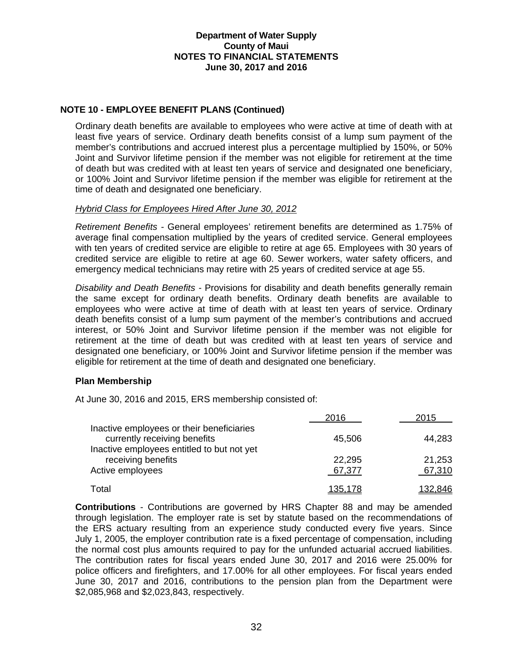### **NOTE 10 - EMPLOYEE BENEFIT PLANS (Continued)**

Ordinary death benefits are available to employees who were active at time of death with at least five years of service. Ordinary death benefits consist of a lump sum payment of the member's contributions and accrued interest plus a percentage multiplied by 150%, or 50% Joint and Survivor lifetime pension if the member was not eligible for retirement at the time of death but was credited with at least ten years of service and designated one beneficiary, or 100% Joint and Survivor lifetime pension if the member was eligible for retirement at the time of death and designated one beneficiary.

### *Hybrid Class for Employees Hired After June 30, 2012*

*Retirement Benefits -* General employees' retirement benefits are determined as 1.75% of average final compensation multiplied by the years of credited service. General employees with ten years of credited service are eligible to retire at age 65. Employees with 30 years of credited service are eligible to retire at age 60. Sewer workers, water safety officers, and emergency medical technicians may retire with 25 years of credited service at age 55.

*Disability and Death Benefits -* Provisions for disability and death benefits generally remain the same except for ordinary death benefits. Ordinary death benefits are available to employees who were active at time of death with at least ten years of service. Ordinary death benefits consist of a lump sum payment of the member's contributions and accrued interest, or 50% Joint and Survivor lifetime pension if the member was not eligible for retirement at the time of death but was credited with at least ten years of service and designated one beneficiary, or 100% Joint and Survivor lifetime pension if the member was eligible for retirement at the time of death and designated one beneficiary.

#### **Plan Membership**

At June 30, 2016 and 2015, ERS membership consisted of:

|                                                                                      | 2016             | 2015             |
|--------------------------------------------------------------------------------------|------------------|------------------|
| Inactive employees or their beneficiaries<br>currently receiving benefits            | 45,506           | 44,283           |
| Inactive employees entitled to but not yet<br>receiving benefits<br>Active employees | 22,295<br>67,377 | 21,253<br>67,310 |
| Total                                                                                | <u>135,178</u>   | <u>132,846</u>   |

**Contributions** - Contributions are governed by HRS Chapter 88 and may be amended through legislation. The employer rate is set by statute based on the recommendations of the ERS actuary resulting from an experience study conducted every five years. Since July 1, 2005, the employer contribution rate is a fixed percentage of compensation, including the normal cost plus amounts required to pay for the unfunded actuarial accrued liabilities. The contribution rates for fiscal years ended June 30, 2017 and 2016 were 25.00% for police officers and firefighters, and 17.00% for all other employees. For fiscal years ended June 30, 2017 and 2016, contributions to the pension plan from the Department were \$2,085,968 and \$2,023,843, respectively.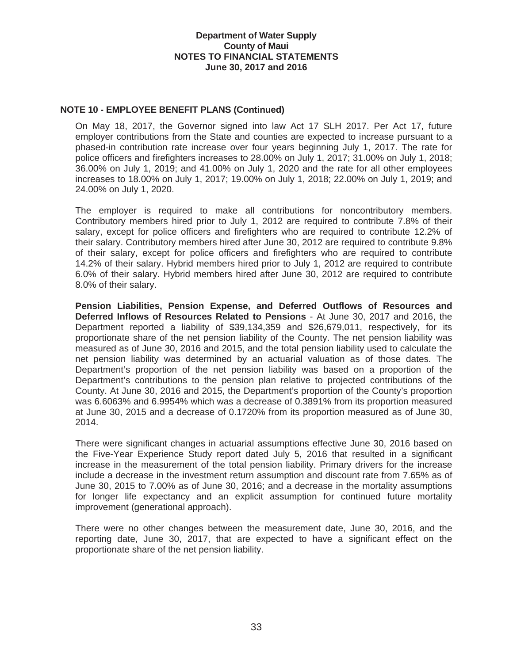### **NOTE 10 - EMPLOYEE BENEFIT PLANS (Continued)**

On May 18, 2017, the Governor signed into law Act 17 SLH 2017. Per Act 17, future employer contributions from the State and counties are expected to increase pursuant to a phased-in contribution rate increase over four years beginning July 1, 2017. The rate for police officers and firefighters increases to 28.00% on July 1, 2017; 31.00% on July 1, 2018; 36.00% on July 1, 2019; and 41.00% on July 1, 2020 and the rate for all other employees increases to 18.00% on July 1, 2017; 19.00% on July 1, 2018; 22.00% on July 1, 2019; and 24.00% on July 1, 2020.

The employer is required to make all contributions for noncontributory members. Contributory members hired prior to July 1, 2012 are required to contribute 7.8% of their salary, except for police officers and firefighters who are required to contribute 12.2% of their salary. Contributory members hired after June 30, 2012 are required to contribute 9.8% of their salary, except for police officers and firefighters who are required to contribute 14.2% of their salary. Hybrid members hired prior to July 1, 2012 are required to contribute 6.0% of their salary. Hybrid members hired after June 30, 2012 are required to contribute 8.0% of their salary.

**Pension Liabilities, Pension Expense, and Deferred Outflows of Resources and Deferred Inflows of Resources Related to Pensions** - At June 30, 2017 and 2016, the Department reported a liability of \$39,134,359 and \$26,679,011, respectively, for its proportionate share of the net pension liability of the County. The net pension liability was measured as of June 30, 2016 and 2015, and the total pension liability used to calculate the net pension liability was determined by an actuarial valuation as of those dates. The Department's proportion of the net pension liability was based on a proportion of the Department's contributions to the pension plan relative to projected contributions of the County. At June 30, 2016 and 2015, the Department's proportion of the County's proportion was 6.6063% and 6.9954% which was a decrease of 0.3891% from its proportion measured at June 30, 2015 and a decrease of 0.1720% from its proportion measured as of June 30, 2014.

There were significant changes in actuarial assumptions effective June 30, 2016 based on the Five-Year Experience Study report dated July 5, 2016 that resulted in a significant increase in the measurement of the total pension liability. Primary drivers for the increase include a decrease in the investment return assumption and discount rate from 7.65% as of June 30, 2015 to 7.00% as of June 30, 2016; and a decrease in the mortality assumptions for longer life expectancy and an explicit assumption for continued future mortality improvement (generational approach).

There were no other changes between the measurement date, June 30, 2016, and the reporting date, June 30, 2017, that are expected to have a significant effect on the proportionate share of the net pension liability.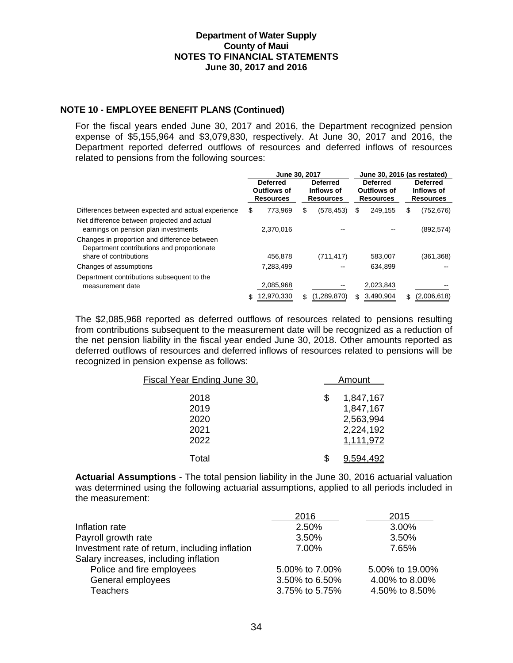### **NOTE 10 - EMPLOYEE BENEFIT PLANS (Continued)**

For the fiscal years ended June 30, 2017 and 2016, the Department recognized pension expense of \$5,155,964 and \$3,079,830, respectively. At June 30, 2017 and 2016, the Department reported deferred outflows of resources and deferred inflows of resources related to pensions from the following sources:

|                                                                                            | June 30, 2017                                      |     |                                                   | June 30, 2016 (as restated) |                                                    |     |                                                   |  |  |
|--------------------------------------------------------------------------------------------|----------------------------------------------------|-----|---------------------------------------------------|-----------------------------|----------------------------------------------------|-----|---------------------------------------------------|--|--|
|                                                                                            | <b>Deferred</b><br>Outflows of<br><b>Resources</b> |     | <b>Deferred</b><br>Inflows of<br><b>Resources</b> |                             | <b>Deferred</b><br>Outflows of<br><b>Resources</b> |     | <b>Deferred</b><br>Inflows of<br><b>Resources</b> |  |  |
| Differences between expected and actual experience                                         | \$<br>773.969                                      | S   | (578, 453)                                        | \$                          | 249.155                                            | \$  | (752,676)                                         |  |  |
| Net difference between projected and actual<br>earnings on pension plan investments        | 2.370.016                                          |     |                                                   |                             |                                                    |     | (892, 574)                                        |  |  |
| Changes in proportion and difference between<br>Department contributions and proportionate |                                                    |     |                                                   |                             |                                                    |     |                                                   |  |  |
| share of contributions                                                                     | 456.878                                            |     | (711, 417)                                        |                             | 583,007                                            |     | (361,368)                                         |  |  |
| Changes of assumptions                                                                     | 7,283,499                                          |     |                                                   |                             | 634,899                                            |     |                                                   |  |  |
| Department contributions subsequent to the                                                 |                                                    |     |                                                   |                             |                                                    |     |                                                   |  |  |
| measurement date                                                                           | 2,085,968                                          |     |                                                   |                             | 2,023,843                                          |     |                                                   |  |  |
|                                                                                            | \$<br>12,970,330                                   | \$. | (1,289,870)                                       |                             | 3,490,904                                          | \$. | (2,006,618)                                       |  |  |

The \$2,085,968 reported as deferred outflows of resources related to pensions resulting from contributions subsequent to the measurement date will be recognized as a reduction of the net pension liability in the fiscal year ended June 30, 2018. Other amounts reported as deferred outflows of resources and deferred inflows of resources related to pensions will be recognized in pension expense as follows:

| <b>Fiscal Year Ending June 30.</b>   |    | Amount                                                        |  |  |  |  |
|--------------------------------------|----|---------------------------------------------------------------|--|--|--|--|
| 2018<br>2019<br>2020<br>2021<br>2022 | S  | 1,847,167<br>1,847,167<br>2,563,994<br>2,224,192<br>1,111,972 |  |  |  |  |
| Total                                | ß. |                                                               |  |  |  |  |

**Actuarial Assumptions** - The total pension liability in the June 30, 2016 actuarial valuation was determined using the following actuarial assumptions, applied to all periods included in the measurement:

|                                                | 2016           | 2015            |
|------------------------------------------------|----------------|-----------------|
| Inflation rate                                 | 2.50%          | 3.00%           |
| Payroll growth rate                            | 3.50%          | 3.50%           |
| Investment rate of return, including inflation | 7.00%          | 7.65%           |
| Salary increases, including inflation          |                |                 |
| Police and fire employees                      | 5.00% to 7.00% | 5.00% to 19.00% |
| General employees                              | 3.50% to 6.50% | 4.00% to 8.00%  |
| <b>Teachers</b>                                | 3.75% to 5.75% | 4.50% to 8.50%  |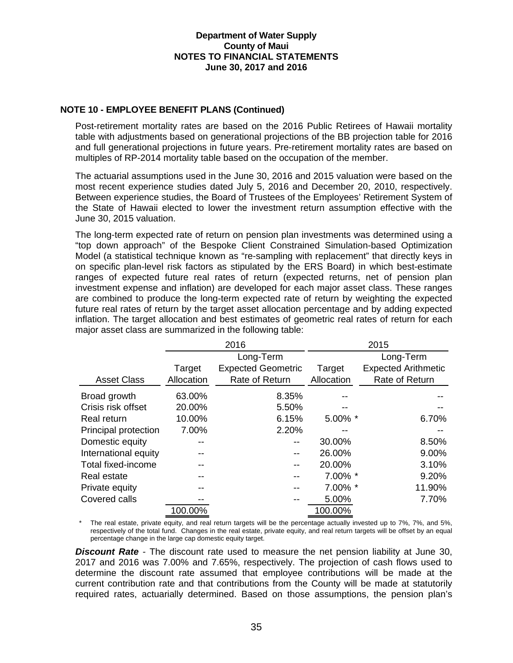### **NOTE 10 - EMPLOYEE BENEFIT PLANS (Continued)**

Post-retirement mortality rates are based on the 2016 Public Retirees of Hawaii mortality table with adjustments based on generational projections of the BB projection table for 2016 and full generational projections in future years. Pre-retirement mortality rates are based on multiples of RP-2014 mortality table based on the occupation of the member.

The actuarial assumptions used in the June 30, 2016 and 2015 valuation were based on the most recent experience studies dated July 5, 2016 and December 20, 2010, respectively. Between experience studies, the Board of Trustees of the Employees' Retirement System of the State of Hawaii elected to lower the investment return assumption effective with the June 30, 2015 valuation.

The long-term expected rate of return on pension plan investments was determined using a "top down approach" of the Bespoke Client Constrained Simulation-based Optimization Model (a statistical technique known as "re-sampling with replacement" that directly keys in on specific plan-level risk factors as stipulated by the ERS Board) in which best-estimate ranges of expected future real rates of return (expected returns, net of pension plan investment expense and inflation) are developed for each major asset class. These ranges are combined to produce the long-term expected rate of return by weighting the expected future real rates of return by the target asset allocation percentage and by adding expected inflation. The target allocation and best estimates of geometric real rates of return for each major asset class are summarized in the following table:

|                      |            | 2016                      | 2015       |                            |  |  |  |  |  |
|----------------------|------------|---------------------------|------------|----------------------------|--|--|--|--|--|
|                      |            | Long-Term                 |            | Long-Term                  |  |  |  |  |  |
|                      | Target     | <b>Expected Geometric</b> | Target     | <b>Expected Arithmetic</b> |  |  |  |  |  |
| <b>Asset Class</b>   | Allocation | Rate of Return            | Allocation | Rate of Return             |  |  |  |  |  |
| Broad growth         | 63.00%     | 8.35%                     |            |                            |  |  |  |  |  |
| Crisis risk offset   | 20.00%     | 5.50%                     |            |                            |  |  |  |  |  |
| Real return          | 10.00%     | 6.15%                     | $5.00\%$ * | 6.70%                      |  |  |  |  |  |
| Principal protection | 7.00%      | 2.20%                     |            |                            |  |  |  |  |  |
| Domestic equity      |            |                           | 30.00%     | 8.50%                      |  |  |  |  |  |
| International equity |            | --                        | 26.00%     | 9.00%                      |  |  |  |  |  |
| Total fixed-income   |            | --                        | 20.00%     | 3.10%                      |  |  |  |  |  |
| Real estate          |            |                           | 7.00% *    | 9.20%                      |  |  |  |  |  |
| Private equity       |            | --                        | 7.00% *    | 11.90%                     |  |  |  |  |  |
| Covered calls        |            |                           | 5.00%      | 7.70%                      |  |  |  |  |  |
|                      | 100.00%    |                           | 100.00%    |                            |  |  |  |  |  |

The real estate, private equity, and real return targets will be the percentage actually invested up to 7%, 7%, and 5%, respectively of the total fund. Changes in the real estate, private equity, and real return targets will be offset by an equal percentage change in the large cap domestic equity target.

*Discount Rate -* The discount rate used to measure the net pension liability at June 30, 2017 and 2016 was 7.00% and 7.65%, respectively. The projection of cash flows used to determine the discount rate assumed that employee contributions will be made at the current contribution rate and that contributions from the County will be made at statutorily required rates, actuarially determined. Based on those assumptions, the pension plan's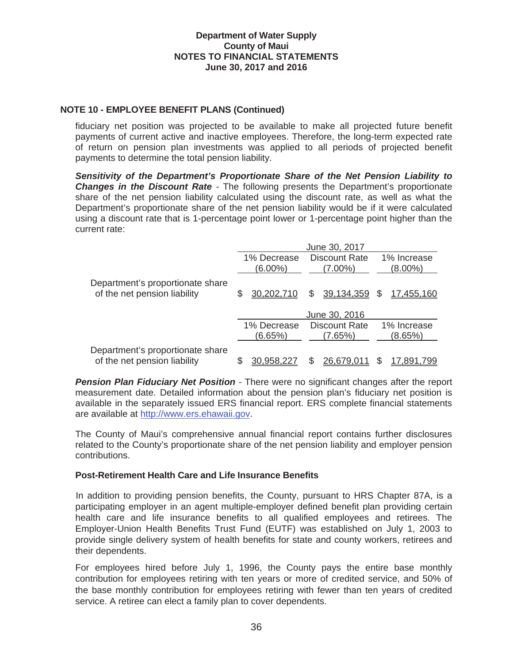### **NOTE 10 - EMPLOYEE BENEFIT PLANS (Continued)**

fiduciary net position was projected to be available to make all projected future benefit payments of current active and inactive employees. Therefore, the long-term expected rate of return on pension plan investments was applied to all periods of projected benefit payments to determine the total pension liability.

*Sensitivity of the Department's Proportionate Share of the Net Pension Liability to Changes in the Discount Rate -* The following presents the Department's proportionate share of the net pension liability calculated using the discount rate, as well as what the Department's proportionate share of the net pension liability would be if it were calculated using a discount rate that is 1-percentage point lower or 1-percentage point higher than the current rate:

|                                  | June 30, 2017 |                      |                   |  |  |  |  |  |  |
|----------------------------------|---------------|----------------------|-------------------|--|--|--|--|--|--|
|                                  | 1% Decrease   | <b>Discount Rate</b> | 1% Increase       |  |  |  |  |  |  |
|                                  | $(6.00\%)$    | $(7.00\%)$           | $(8.00\%)$        |  |  |  |  |  |  |
| Department's proportionate share | \$            | 39,134,359           | <u>17,455,160</u> |  |  |  |  |  |  |
| of the net pension liability     | 30,202,710    | \$                   | S                 |  |  |  |  |  |  |
|                                  |               | June 30, 2016        |                   |  |  |  |  |  |  |
|                                  | 1% Decrease   | <b>Discount Rate</b> | 1% Increase       |  |  |  |  |  |  |
|                                  | (6.65%)       | (7.65%)              | (8.65%)           |  |  |  |  |  |  |
| Department's proportionate share | \$            | 26,679.0             | 17.891            |  |  |  |  |  |  |
| of the net pension liability     | 30,958,221    |                      | S                 |  |  |  |  |  |  |

**Pension Plan Fiduciary Net Position -** There were no significant changes after the report measurement date. Detailed information about the pension plan's fiduciary net position is available in the separately issued ERS financial report. ERS complete financial statements are available at http://www.ers.ehawaii.gov.

The County of Maui's comprehensive annual financial report contains further disclosures related to the County's proportionate share of the net pension liability and employer pension contributions.

### **Post-Retirement Health Care and Life Insurance Benefits**

In addition to providing pension benefits, the County, pursuant to HRS Chapter 87A, is a participating employer in an agent multiple-employer defined benefit plan providing certain health care and life insurance benefits to all qualified employees and retirees. The Employer-Union Health Benefits Trust Fund (EUTF) was established on July 1, 2003 to provide single delivery system of health benefits for state and county workers, retirees and their dependents.

For employees hired before July 1, 1996, the County pays the entire base monthly contribution for employees retiring with ten years or more of credited service, and 50% of the base monthly contribution for employees retiring with fewer than ten years of credited service. A retiree can elect a family plan to cover dependents.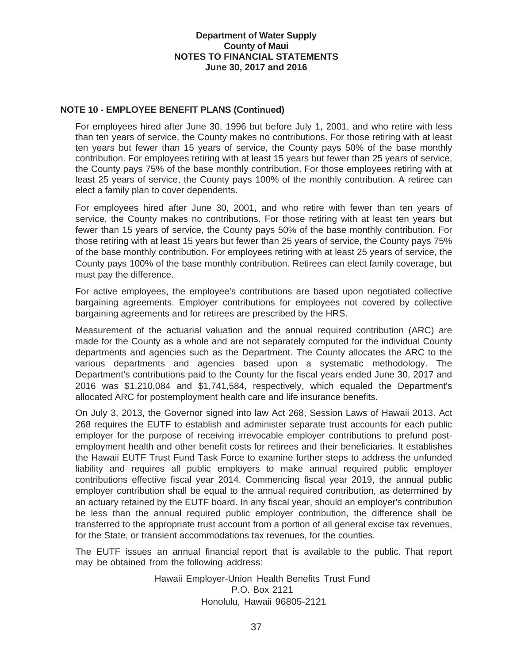### **NOTE 10 - EMPLOYEE BENEFIT PLANS (Continued)**

For employees hired after June 30, 1996 but before July 1, 2001, and who retire with less than ten years of service, the County makes no contributions. For those retiring with at least ten years but fewer than 15 years of service, the County pays 50% of the base monthly contribution. For employees retiring with at least 15 years but fewer than 25 years of service, the County pays 75% of the base monthly contribution. For those employees retiring with at least 25 years of service, the County pays 100% of the monthly contribution. A retiree can elect a family plan to cover dependents.

For employees hired after June 30, 2001, and who retire with fewer than ten years of service, the County makes no contributions. For those retiring with at least ten years but fewer than 15 years of service, the County pays 50% of the base monthly contribution. For those retiring with at least 15 years but fewer than 25 years of service, the County pays 75% of the base monthly contribution. For employees retiring with at least 25 years of service, the County pays 100% of the base monthly contribution. Retirees can elect family coverage, but must pay the difference.

For active employees, the employee's contributions are based upon negotiated collective bargaining agreements. Employer contributions for employees not covered by collective bargaining agreements and for retirees are prescribed by the HRS.

Measurement of the actuarial valuation and the annual required contribution (ARC) are made for the County as a whole and are not separately computed for the individual County departments and agencies such as the Department. The County allocates the ARC to the various departments and agencies based upon a systematic methodology. The Department's contributions paid to the County for the fiscal years ended June 30, 2017 and 2016 was \$1,210,084 and \$1,741,584, respectively, which equaled the Department's allocated ARC for postemployment health care and life insurance benefits.

On July 3, 2013, the Governor signed into law Act 268, Session Laws of Hawaii 2013. Act 268 requires the EUTF to establish and administer separate trust accounts for each public employer for the purpose of receiving irrevocable employer contributions to prefund postemployment health and other benefit costs for retirees and their beneficiaries. It establishes the Hawaii EUTF Trust Fund Task Force to examine further steps to address the unfunded liability and requires all public employers to make annual required public employer contributions effective fiscal year 2014. Commencing fiscal year 2019, the annual public employer contribution shall be equal to the annual required contribution, as determined by an actuary retained by the EUTF board. In any fiscal year, should an employer's contribution be less than the annual required public employer contribution, the difference shall be transferred to the appropriate trust account from a portion of all general excise tax revenues, for the State, or transient accommodations tax revenues, for the counties.

The EUTF issues an annual financial report that is available to the public. That report may be obtained from the following address:

> Hawaii Employer-Union Health Benefits Trust Fund P.O. Box 2121 Honolulu, Hawaii 96805-2121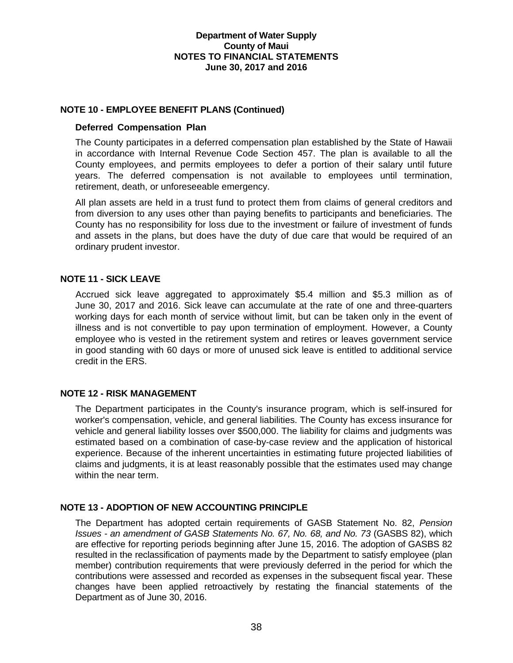### **NOTE 10 - EMPLOYEE BENEFIT PLANS (Continued)**

#### **Deferred Compensation Plan**

The County participates in a deferred compensation plan established by the State of Hawaii in accordance with Internal Revenue Code Section 457. The plan is available to all the County employees, and permits employees to defer a portion of their salary until future years. The deferred compensation is not available to employees until termination, retirement, death, or unforeseeable emergency.

All plan assets are held in a trust fund to protect them from claims of general creditors and from diversion to any uses other than paying benefits to participants and beneficiaries. The County has no responsibility for loss due to the investment or failure of investment of funds and assets in the plans, but does have the duty of due care that would be required of an ordinary prudent investor.

### **NOTE 11 - SICK LEAVE**

Accrued sick leave aggregated to approximately \$5.4 million and \$5.3 million as of June 30, 2017 and 2016. Sick leave can accumulate at the rate of one and three-quarters working days for each month of service without limit, but can be taken only in the event of illness and is not convertible to pay upon termination of employment. However, a County employee who is vested in the retirement system and retires or leaves government service in good standing with 60 days or more of unused sick leave is entitled to additional service credit in the ERS.

### **NOTE 12 - RISK MANAGEMENT**

The Department participates in the County's insurance program, which is self-insured for worker's compensation, vehicle, and general liabilities. The County has excess insurance for vehicle and general liability losses over \$500,000. The liability for claims and judgments was estimated based on a combination of case-by-case review and the application of historical experience. Because of the inherent uncertainties in estimating future projected liabilities of claims and judgments, it is at least reasonably possible that the estimates used may change within the near term.

### **NOTE 13 - ADOPTION OF NEW ACCOUNTING PRINCIPLE**

The Department has adopted certain requirements of GASB Statement No. 82, *Pension Issues - an amendment of GASB Statements No. 67, No. 68, and No. 73* (GASBS 82), which are effective for reporting periods beginning after June 15, 2016. The adoption of GASBS 82 resulted in the reclassification of payments made by the Department to satisfy employee (plan member) contribution requirements that were previously deferred in the period for which the contributions were assessed and recorded as expenses in the subsequent fiscal year. These changes have been applied retroactively by restating the financial statements of the Department as of June 30, 2016.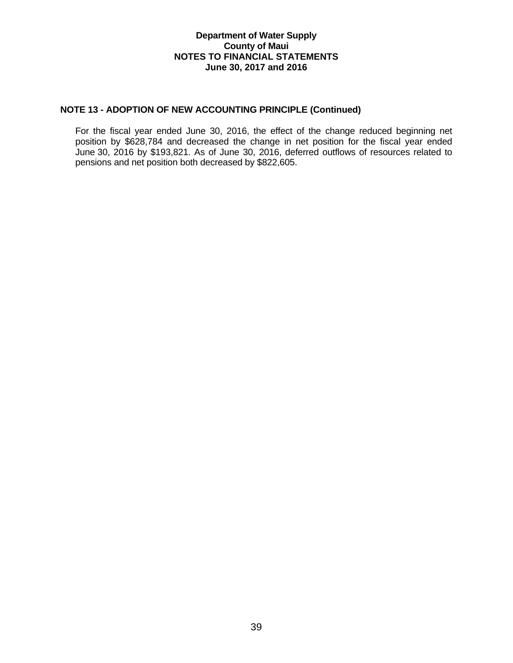## **NOTE 13 - ADOPTION OF NEW ACCOUNTING PRINCIPLE (Continued)**

For the fiscal year ended June 30, 2016, the effect of the change reduced beginning net position by \$628,784 and decreased the change in net position for the fiscal year ended June 30, 2016 by \$193,821. As of June 30, 2016, deferred outflows of resources related to pensions and net position both decreased by \$822,605.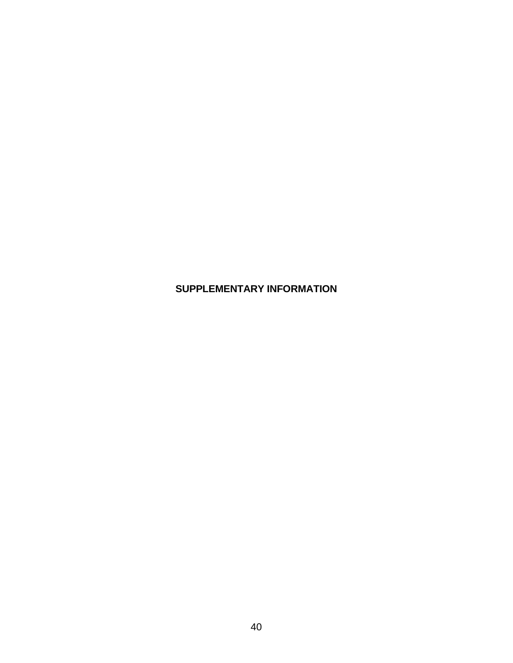# **SUPPLEMENTARY INFORMATION**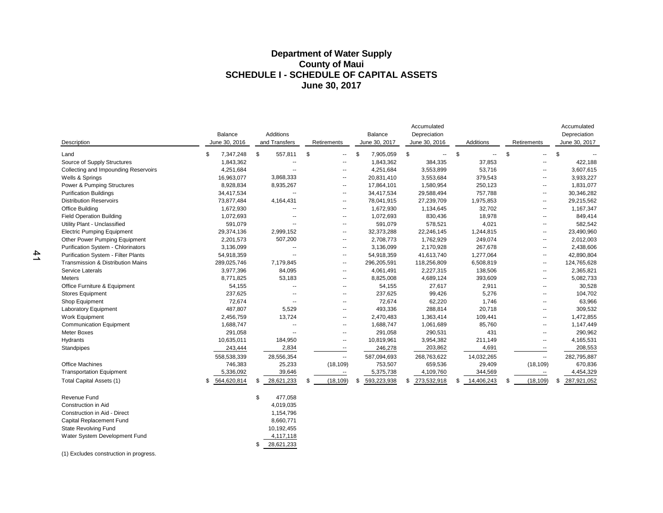#### **Department of Water Supply County of Maui SCHEDULE I - SCHEDULE OF CAPITAL ASSETS June 30, 2017**

|                                      |                   |                          |                                |                   | Accumulated       |                   |                                | Accumulated       |
|--------------------------------------|-------------------|--------------------------|--------------------------------|-------------------|-------------------|-------------------|--------------------------------|-------------------|
|                                      | Balance           | <b>Additions</b>         |                                | Balance           | Depreciation      |                   |                                | Depreciation      |
| Description                          | June 30, 2016     | and Transfers            | Retirements                    | June 30, 2017     | June 30, 2016     | Additions         | Retirements                    | June 30, 2017     |
| Land                                 | \$<br>7,347,248   | \$<br>557,811            | \$<br>$\overline{\phantom{a}}$ | \$<br>7,905,059   | \$<br>۰.          | \$<br>$\sim$      | \$<br>$\overline{\phantom{a}}$ | \$                |
| Source of Supply Structures          | 1,843,362         | ٠.                       |                                | 1,843,362         | 384,335           | 37,853            |                                | 422,188           |
| Collecting and Impounding Reservoirs | 4,251,684         |                          | $\sim$                         | 4,251,684         | 3,553,899         | 53,716            |                                | 3,607,615         |
| Wells & Springs                      | 16,963,077        | 3,868,333                | $\sim$                         | 20,831,410        | 3,553,684         | 379,543           | $\overline{a}$                 | 3,933,227         |
| Power & Pumping Structures           | 8,928,834         | 8,935,267                | $\overline{\phantom{a}}$       | 17,864,101        | 1,580,954         | 250,123           | --                             | 1,831,077         |
| <b>Purification Buildings</b>        | 34,417,534        | $\overline{\phantom{a}}$ | $\sim$                         | 34,417,534        | 29,588,494        | 757,788           | $\sim$                         | 30,346,282        |
| <b>Distribution Reservoirs</b>       | 73,877,484        | 4,164,431                | $\sim$                         | 78,041,915        | 27,239,709        | 1,975,853         | --                             | 29,215,562        |
| <b>Office Building</b>               | 1,672,930         |                          | $\overline{\phantom{a}}$       | 1,672,930         | 1,134,645         | 32,702            | --                             | 1,167,347         |
| <b>Field Operation Building</b>      | 1,072,693         | $\overline{a}$           | $\sim$                         | 1,072,693         | 830,436           | 18,978            | --                             | 849,414           |
| Utility Plant - Unclassified         | 591,079           | --                       | $\sim$                         | 591,079           | 578,521           | 4,021             | --                             | 582,542           |
| <b>Electric Pumping Equipment</b>    | 29,374,136        | 2,999,152                | $\sim$                         | 32,373,288        | 22,246,145        | 1,244,815         | --                             | 23,490,960        |
| Other Power Pumping Equipment        | 2,201,573         | 507,200                  | $\mathbf{u}$                   | 2,708,773         | 1,762,929         | 249,074           | $\overline{a}$                 | 2,012,003         |
| Purification System - Chlorinators   | 3,136,099         | --                       | $\sim$                         | 3,136,099         | 2,170,928         | 267,678           | --                             | 2,438,606         |
| Purification System - Filter Plants  | 54,918,359        |                          | $\sim$                         | 54,918,359        | 41,613,740        | 1,277,064         | --                             | 42,890,804        |
| Transmission & Distribution Mains    | 289,025,746       | 7,179,845                | $\overline{\phantom{a}}$       | 296,205,591       | 118,256,809       | 6,508,819         | --                             | 124,765,628       |
| Service Laterals                     | 3,977,396         | 84,095                   | $\sim$                         | 4,061,491         | 2,227,315         | 138,506           | --                             | 2,365,821         |
| Meters                               | 8,771,825         | 53,183                   | $\sim$                         | 8,825,008         | 4,689,124         | 393,609           |                                | 5,082,733         |
| Office Furniture & Equipment         | 54,155            | $\overline{a}$           | $\sim$ $\sim$                  | 54,155            | 27,617            | 2,911             | --                             | 30,528            |
| <b>Stores Equipment</b>              | 237,625           |                          | $\overline{\phantom{a}}$       | 237,625           | 99,426            | 5,276             | --                             | 104,702           |
| Shop Equipment                       | 72,674            |                          | $\sim$ $\sim$                  | 72,674            | 62,220            | 1,746             | --                             | 63,966            |
| Laboratory Equipment                 | 487,807           | 5,529                    | $\sim$ $\sim$                  | 493,336           | 288,814           | 20,718            | --                             | 309,532           |
| Work Equipment                       | 2,456,759         | 13,724                   | $\mathbf{L}$                   | 2,470,483         | 1,363,414         | 109,441           | --                             | 1,472,855         |
| <b>Communication Equipment</b>       | 1,688,747         |                          | $\sim$ $\sim$                  | 1,688,747         | 1,061,689         | 85,760            | $\overline{a}$                 | 1,147,449         |
| <b>Meter Boxes</b>                   | 291,058           | $\overline{\phantom{a}}$ | $\overline{\phantom{a}}$       | 291,058           | 290,531           | 431               | --                             | 290,962           |
| Hydrants                             | 10,635,011        | 184,950                  | $\sim$                         | 10,819,961        | 3,954,382         | 211,149           | --                             | 4,165,531         |
| Standpipes                           | 243,444           | 2,834                    | $\sim$                         | 246,278           | 203,862           | 4,691             | --                             | 208,553           |
|                                      | 558,538,339       | 28,556,354               | $\sim$                         | 587,094,693       | 268,763,622       | 14,032,265        | $\overline{\phantom{a}}$       | 282,795,887       |
| <b>Office Machines</b>               | 746,383           | 25,233                   | (18, 109)                      | 753,507           | 659,536           | 29,409            | (18, 109)                      | 670,836           |
| <b>Transportation Equipment</b>      | 5,336,092         | 39,646                   | $\sim$                         | 5,375,738         | 4,109,760         | 344,569           | $\overline{\phantom{a}}$       | 4,454,329         |
| Total Capital Assets (1)             | 564,620,814<br>\$ | 28,621,233<br>\$.        | (18, 109)<br>\$.               | 593,223,938<br>\$ | \$<br>273,532,918 | 14,406,243<br>\$. | (18, 109)<br>£.                | \$<br>287,921,052 |
| Revenue Fund                         |                   | \$<br>477,058            |                                |                   |                   |                   |                                |                   |
| Construction in Aid                  |                   | 4,019,035                |                                |                   |                   |                   |                                |                   |
| Construction in Aid - Direct         |                   | 1,154,796                |                                |                   |                   |                   |                                |                   |
| Capital Replacement Fund             |                   | 8,660,771                |                                |                   |                   |                   |                                |                   |
| <b>State Revolving Fund</b>          |                   | 10,192,455               |                                |                   |                   |                   |                                |                   |
| Water System Development Fund        |                   | 4,117,118                |                                |                   |                   |                   |                                |                   |

\$ 28,621,233

(1) Excludes construction in progress.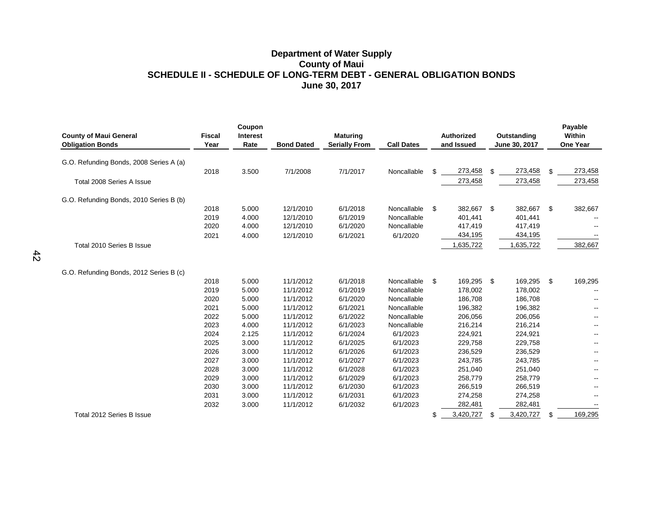#### **Department of Water Supply County of Maui SCHEDULE II - SCHEDULE OF LONG-TERM DEBT - GENERAL OBLIGATION BONDS June 30, 2017**

| <b>County of Maui General</b><br><b>Obligation Bonds</b> | <b>Fiscal</b><br>Year | Coupon<br><b>Interest</b><br>Rate | <b>Bond Dated</b> | <b>Maturing</b><br><b>Serially From</b> | <b>Call Dates</b> | Authorized<br>and Issued |            |      | Outstanding<br>June 30, 2017 | Payable<br>Within<br>One Year |                          |
|----------------------------------------------------------|-----------------------|-----------------------------------|-------------------|-----------------------------------------|-------------------|--------------------------|------------|------|------------------------------|-------------------------------|--------------------------|
| G.O. Refunding Bonds, 2008 Series A (a)                  | 2018                  | 3.500                             | 7/1/2008          | 7/1/2017                                | Noncallable       | \$                       | 273,458    | \$   | 273,458                      | \$                            | 273,458                  |
| Total 2008 Series A Issue                                |                       |                                   |                   |                                         |                   |                          | 273,458    |      | 273,458                      |                               | 273,458                  |
| G.O. Refunding Bonds, 2010 Series B (b)                  |                       |                                   |                   |                                         |                   |                          |            |      |                              |                               |                          |
|                                                          | 2018                  | 5.000                             | 12/1/2010         | 6/1/2018                                | Noncallable       | \$                       | 382,667 \$ |      | 382,667                      | - \$                          | 382,667                  |
|                                                          | 2019                  | 4.000                             | 12/1/2010         | 6/1/2019                                | Noncallable       |                          | 401,441    |      | 401,441                      |                               |                          |
|                                                          | 2020                  | 4.000                             | 12/1/2010         | 6/1/2020                                | Noncallable       |                          | 417,419    |      | 417,419                      |                               |                          |
|                                                          | 2021                  | 4.000                             | 12/1/2010         | 6/1/2021                                | 6/1/2020          |                          | 434,195    |      | 434,195                      |                               | $\overline{\phantom{a}}$ |
| Total 2010 Series B Issue                                |                       |                                   |                   |                                         |                   |                          | 1,635,722  |      | 1,635,722                    |                               | 382,667                  |
| G.O. Refunding Bonds, 2012 Series B (c)                  |                       |                                   |                   |                                         |                   |                          |            |      |                              |                               |                          |
|                                                          | 2018                  | 5.000                             | 11/1/2012         | 6/1/2018                                | Noncallable       | \$                       | 169,295    | - \$ | 169,295                      | - \$                          | 169,295                  |
|                                                          | 2019                  | 5.000                             | 11/1/2012         | 6/1/2019                                | Noncallable       |                          | 178,002    |      | 178,002                      |                               |                          |
|                                                          | 2020                  | 5.000                             | 11/1/2012         | 6/1/2020                                | Noncallable       |                          | 186,708    |      | 186,708                      |                               |                          |
|                                                          | 2021                  | 5.000                             | 11/1/2012         | 6/1/2021                                | Noncallable       |                          | 196,382    |      | 196,382                      |                               |                          |
|                                                          | 2022                  | 5.000                             | 11/1/2012         | 6/1/2022                                | Noncallable       |                          | 206,056    |      | 206,056                      |                               |                          |
|                                                          | 2023                  | 4.000                             | 11/1/2012         | 6/1/2023                                | Noncallable       |                          | 216,214    |      | 216,214                      |                               |                          |
|                                                          | 2024                  | 2.125                             | 11/1/2012         | 6/1/2024                                | 6/1/2023          |                          | 224,921    |      | 224,921                      |                               |                          |
|                                                          | 2025                  | 3.000                             | 11/1/2012         | 6/1/2025                                | 6/1/2023          |                          | 229,758    |      | 229,758                      |                               |                          |
|                                                          | 2026                  | 3.000                             | 11/1/2012         | 6/1/2026                                | 6/1/2023          |                          | 236,529    |      | 236,529                      |                               |                          |
|                                                          | 2027                  | 3.000                             | 11/1/2012         | 6/1/2027                                | 6/1/2023          |                          | 243,785    |      | 243,785                      |                               |                          |
|                                                          | 2028                  | 3.000                             | 11/1/2012         | 6/1/2028                                | 6/1/2023          |                          | 251,040    |      | 251,040                      |                               |                          |
|                                                          | 2029                  | 3.000                             | 11/1/2012         | 6/1/2029                                | 6/1/2023          |                          | 258,779    |      | 258,779                      |                               |                          |
|                                                          | 2030                  | 3.000                             | 11/1/2012         | 6/1/2030                                | 6/1/2023          |                          | 266,519    |      | 266,519                      |                               |                          |
|                                                          | 2031                  | 3.000                             | 11/1/2012         | 6/1/2031                                | 6/1/2023          |                          | 274,258    |      | 274,258                      |                               |                          |
|                                                          | 2032                  | 3.000                             | 11/1/2012         | 6/1/2032                                | 6/1/2023          |                          | 282,481    |      | 282,481                      |                               | $\overline{\phantom{a}}$ |
| Total 2012 Series B Issue                                |                       |                                   |                   |                                         |                   | \$                       | 3,420,727  | \$   | 3,420,727                    | \$.                           | 169,295                  |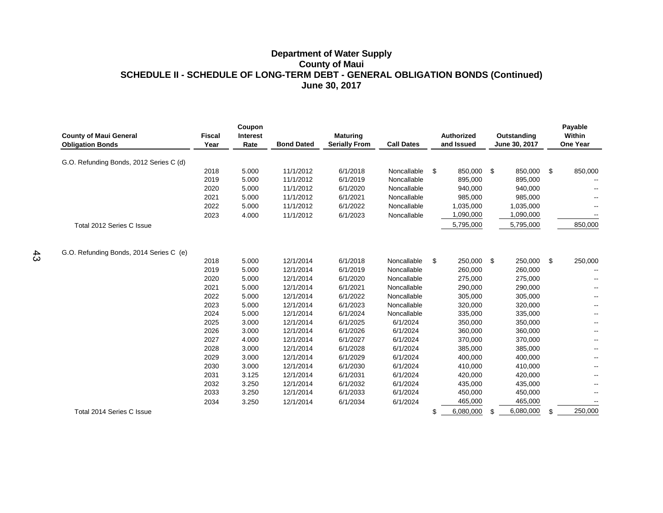### **Department of Water Supply County of Maui SCHEDULE II - SCHEDULE OF LONG-TERM DEBT - GENERAL OBLIGATION BONDS (Continued) June 30, 2017**

| <b>County of Maui General</b>           | <b>Fiscal</b> | Coupon<br>Interest |                   | <b>Maturing</b>      |                   |                             | Authorized |          | Outstanding |            | Payable<br>Within        |
|-----------------------------------------|---------------|--------------------|-------------------|----------------------|-------------------|-----------------------------|------------|----------|-------------|------------|--------------------------|
| <b>Obligation Bonds</b>                 | Year          | Rate               | <b>Bond Dated</b> | <b>Serially From</b> | <b>Call Dates</b> | and Issued<br>June 30, 2017 |            | One Year |             |            |                          |
|                                         |               |                    |                   |                      |                   |                             |            |          |             |            |                          |
| G.O. Refunding Bonds, 2012 Series C (d) |               |                    |                   |                      |                   |                             |            |          |             |            |                          |
|                                         | 2018          | 5.000              | 11/1/2012         | 6/1/2018             | Noncallable       | \$                          | 850,000 \$ |          | 850,000     | - \$       | 850,000                  |
|                                         | 2019          | 5.000              | 11/1/2012         | 6/1/2019             | Noncallable       |                             | 895,000    |          | 895,000     |            |                          |
|                                         | 2020          | 5.000              | 11/1/2012         | 6/1/2020             | Noncallable       |                             | 940,000    |          | 940,000     |            |                          |
|                                         | 2021          | 5.000              | 11/1/2012         | 6/1/2021             | Noncallable       |                             | 985,000    |          | 985,000     |            |                          |
|                                         | 2022          | 5.000              | 11/1/2012         | 6/1/2022             | Noncallable       |                             | 1,035,000  |          | 1,035,000   |            |                          |
|                                         | 2023          | 4.000              | 11/1/2012         | 6/1/2023             | Noncallable       |                             | 1,090,000  |          | 1,090,000   |            |                          |
| Total 2012 Series C Issue               |               |                    |                   |                      |                   |                             | 5,795,000  |          | 5,795,000   |            | 850,000                  |
|                                         |               |                    |                   |                      |                   |                             |            |          |             |            |                          |
| G.O. Refunding Bonds, 2014 Series C (e) |               |                    |                   |                      |                   |                             |            |          |             |            |                          |
|                                         | 2018          | 5.000              | 12/1/2014         | 6/1/2018             | Noncallable       | \$                          | 250,000 \$ |          | 250,000     | $^{\circ}$ | 250,000                  |
|                                         | 2019          | 5.000              | 12/1/2014         | 6/1/2019             | Noncallable       |                             | 260,000    |          | 260,000     |            |                          |
|                                         | 2020          | 5.000              | 12/1/2014         | 6/1/2020             | Noncallable       |                             | 275,000    |          | 275,000     |            |                          |
|                                         | 2021          | 5.000              | 12/1/2014         | 6/1/2021             | Noncallable       |                             | 290,000    |          | 290,000     |            |                          |
|                                         | 2022          | 5.000              | 12/1/2014         | 6/1/2022             | Noncallable       |                             | 305,000    |          | 305,000     |            |                          |
|                                         | 2023          | 5.000              | 12/1/2014         | 6/1/2023             | Noncallable       |                             | 320,000    |          | 320,000     |            |                          |
|                                         | 2024          | 5.000              | 12/1/2014         | 6/1/2024             | Noncallable       |                             | 335,000    |          | 335,000     |            |                          |
|                                         | 2025          | 3.000              | 12/1/2014         | 6/1/2025             | 6/1/2024          |                             | 350,000    |          | 350,000     |            |                          |
|                                         | 2026          | 3.000              | 12/1/2014         | 6/1/2026             | 6/1/2024          |                             | 360,000    |          | 360,000     |            | ۰.                       |
|                                         | 2027          | 4.000              | 12/1/2014         | 6/1/2027             | 6/1/2024          |                             | 370,000    |          | 370,000     |            |                          |
|                                         | 2028          | 3.000              | 12/1/2014         | 6/1/2028             | 6/1/2024          |                             | 385,000    |          | 385,000     |            |                          |
|                                         | 2029          | 3.000              | 12/1/2014         | 6/1/2029             | 6/1/2024          |                             | 400,000    |          | 400,000     |            |                          |
|                                         | 2030          | 3.000              | 12/1/2014         | 6/1/2030             | 6/1/2024          |                             | 410,000    |          | 410,000     |            |                          |
|                                         | 2031          | 3.125              | 12/1/2014         | 6/1/2031             | 6/1/2024          |                             | 420,000    |          | 420,000     |            |                          |
|                                         | 2032          | 3.250              | 12/1/2014         | 6/1/2032             | 6/1/2024          |                             | 435,000    |          | 435,000     |            | --                       |
|                                         | 2033          | 3.250              | 12/1/2014         | 6/1/2033             | 6/1/2024          |                             | 450,000    |          | 450,000     |            |                          |
|                                         | 2034          | 3.250              | 12/1/2014         | 6/1/2034             | 6/1/2024          |                             | 465,000    |          | 465,000     |            | $\overline{\phantom{a}}$ |
| Total 2014 Series C Issue               |               |                    |                   |                      |                   | \$                          | 6,080,000  | \$.      | 6,080,000   | \$         | 250,000                  |

 $\frac{4}{3}$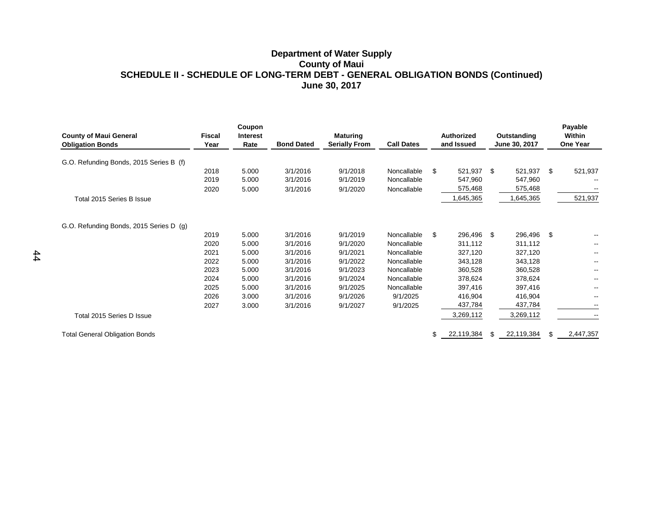### **Department of Water Supply County of Maui SCHEDULE II - SCHEDULE OF LONG-TERM DEBT - GENERAL OBLIGATION BONDS (Continued) June 30, 2017**

| <b>County of Maui General</b><br><b>Obligation Bonds</b> | <b>Fiscal</b><br>Year | Coupon<br><b>Interest</b><br>Rate | <b>Bond Dated</b> | <b>Maturing</b><br><b>Serially From</b> | <b>Call Dates</b> | <b>Authorized</b><br>and Issued |            | Outstanding<br>June 30, 2017 |            |     | Payable<br>Within<br>One Year |
|----------------------------------------------------------|-----------------------|-----------------------------------|-------------------|-----------------------------------------|-------------------|---------------------------------|------------|------------------------------|------------|-----|-------------------------------|
|                                                          |                       |                                   |                   |                                         |                   |                                 |            |                              |            |     |                               |
| G.O. Refunding Bonds, 2015 Series B (f)                  | 2018                  | 5.000                             | 3/1/2016          | 9/1/2018                                | Noncallable       | \$.                             | 521,937    | - \$                         | 521,937    | -\$ |                               |
|                                                          | 2019                  | 5.000                             | 3/1/2016          | 9/1/2019                                | Noncallable       |                                 |            |                              |            |     | 521,937                       |
|                                                          |                       |                                   |                   |                                         |                   |                                 | 547,960    |                              | 547,960    |     |                               |
|                                                          | 2020                  | 5.000                             | 3/1/2016          | 9/1/2020                                | Noncallable       |                                 | 575,468    |                              | 575,468    |     |                               |
| Total 2015 Series B Issue                                |                       |                                   |                   |                                         |                   |                                 | 1,645,365  |                              | ,645,365   |     | 521,937                       |
| G.O. Refunding Bonds, 2015 Series D (g)                  |                       |                                   |                   |                                         |                   |                                 |            |                              |            |     |                               |
|                                                          | 2019                  | 5.000                             | 3/1/2016          | 9/1/2019                                | Noncallable       | -\$                             | 296,496 \$ |                              | 296,496 \$ |     |                               |
|                                                          | 2020                  | 5.000                             | 3/1/2016          | 9/1/2020                                | Noncallable       |                                 | 311,112    |                              | 311,112    |     |                               |
|                                                          | 2021                  | 5.000                             | 3/1/2016          | 9/1/2021                                | Noncallable       |                                 | 327,120    |                              | 327,120    |     |                               |
|                                                          | 2022                  | 5.000                             | 3/1/2016          | 9/1/2022                                | Noncallable       |                                 | 343,128    |                              | 343,128    |     |                               |
|                                                          | 2023                  | 5.000                             | 3/1/2016          | 9/1/2023                                | Noncallable       |                                 | 360,528    |                              | 360,528    |     |                               |
|                                                          | 2024                  | 5.000                             | 3/1/2016          | 9/1/2024                                | Noncallable       |                                 | 378,624    |                              | 378,624    |     |                               |
|                                                          | 2025                  | 5.000                             | 3/1/2016          | 9/1/2025                                | Noncallable       |                                 | 397,416    |                              | 397,416    |     |                               |
|                                                          | 2026                  | 3.000                             | 3/1/2016          | 9/1/2026                                | 9/1/2025          |                                 | 416,904    |                              | 416,904    |     |                               |
|                                                          | 2027                  | 3.000                             | 3/1/2016          | 9/1/2027                                | 9/1/2025          |                                 | 437,784    |                              | 437,784    |     |                               |
| Total 2015 Series D Issue                                |                       |                                   |                   |                                         |                   |                                 | 3,269,112  |                              | 3,269,112  |     |                               |
| <b>Total General Obligation Bonds</b>                    |                       |                                   |                   |                                         |                   | S                               | 22,119,384 | \$                           | 22,119,384 | \$  | 2,447,357                     |